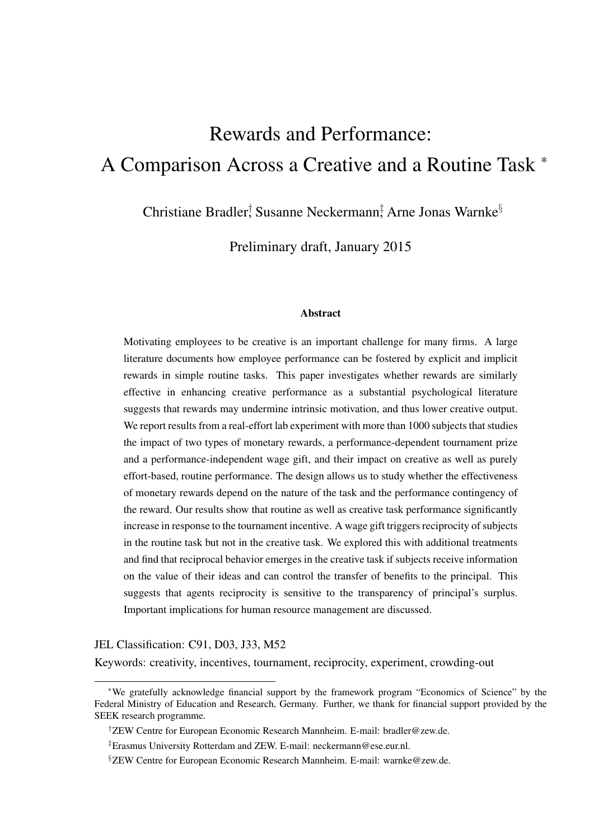# Rewards and Performance: A Comparison Across a Creative and a Routine Task <sup>∗</sup>

Christiane Bradler, Susanne Neckermann<sup>†</sup> Arne Jonas Warnke<sup>§</sup>

Preliminary draft, January 2015

#### **Abstract**

Motivating employees to be creative is an important challenge for many firms. A large literature documents how employee performance can be fostered by explicit and implicit rewards in simple routine tasks. This paper investigates whether rewards are similarly effective in enhancing creative performance as a substantial psychological literature suggests that rewards may undermine intrinsic motivation, and thus lower creative output. We report results from a real-effort lab experiment with more than 1000 subjects that studies the impact of two types of monetary rewards, a performance-dependent tournament prize and a performance-independent wage gift, and their impact on creative as well as purely effort-based, routine performance. The design allows us to study whether the effectiveness of monetary rewards depend on the nature of the task and the performance contingency of the reward. Our results show that routine as well as creative task performance significantly increase in response to the tournament incentive. A wage gift triggers reciprocity of subjects in the routine task but not in the creative task. We explored this with additional treatments and find that reciprocal behavior emerges in the creative task if subjects receive information on the value of their ideas and can control the transfer of benefits to the principal. This suggests that agents reciprocity is sensitive to the transparency of principal's surplus. Important implications for human resource management are discussed.

#### JEL Classification: C91, D03, J33, M52

Keywords: creativity, incentives, tournament, reciprocity, experiment, crowding-out

<sup>∗</sup>We gratefully acknowledge financial support by the framework program "Economics of Science" by the Federal Ministry of Education and Research, Germany. Further, we thank for financial support provided by the SEEK research programme.

<sup>†</sup>ZEW Centre for European Economic Research Mannheim. E-mail: bradler@zew.de.

<sup>‡</sup>Erasmus University Rotterdam and ZEW. E-mail: neckermann@ese.eur.nl.

<sup>§</sup>ZEW Centre for European Economic Research Mannheim. E-mail: warnke@zew.de.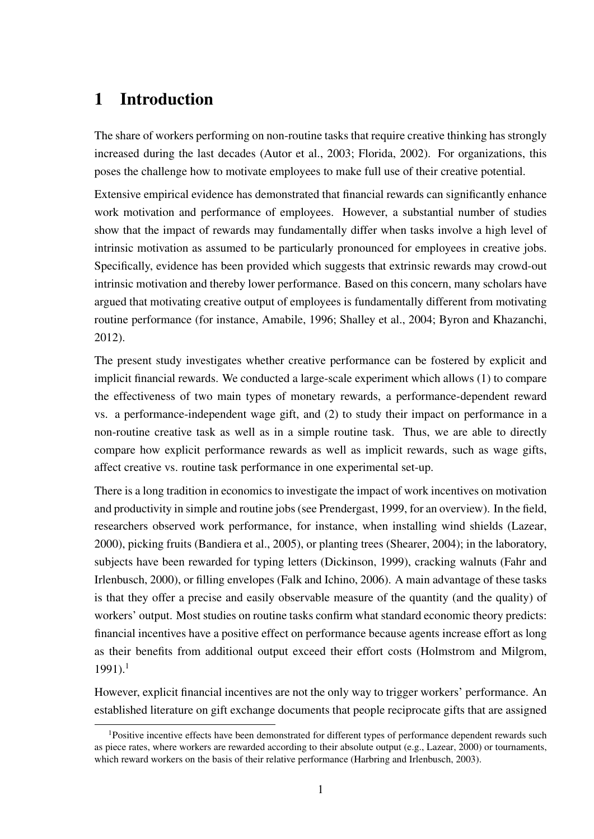## 1 Introduction

The share of workers performing on non-routine tasks that require creative thinking has strongly increased during the last decades (Autor et al., 2003; Florida, 2002). For organizations, this poses the challenge how to motivate employees to make full use of their creative potential.

Extensive empirical evidence has demonstrated that financial rewards can significantly enhance work motivation and performance of employees. However, a substantial number of studies show that the impact of rewards may fundamentally differ when tasks involve a high level of intrinsic motivation as assumed to be particularly pronounced for employees in creative jobs. Specifically, evidence has been provided which suggests that extrinsic rewards may crowd-out intrinsic motivation and thereby lower performance. Based on this concern, many scholars have argued that motivating creative output of employees is fundamentally different from motivating routine performance (for instance, Amabile, 1996; Shalley et al., 2004; Byron and Khazanchi, 2012).

The present study investigates whether creative performance can be fostered by explicit and implicit financial rewards. We conducted a large-scale experiment which allows (1) to compare the effectiveness of two main types of monetary rewards, a performance-dependent reward vs. a performance-independent wage gift, and (2) to study their impact on performance in a non-routine creative task as well as in a simple routine task. Thus, we are able to directly compare how explicit performance rewards as well as implicit rewards, such as wage gifts, affect creative vs. routine task performance in one experimental set-up.

There is a long tradition in economics to investigate the impact of work incentives on motivation and productivity in simple and routine jobs (see Prendergast, 1999, for an overview). In the field, researchers observed work performance, for instance, when installing wind shields (Lazear, 2000), picking fruits (Bandiera et al., 2005), or planting trees (Shearer, 2004); in the laboratory, subjects have been rewarded for typing letters (Dickinson, 1999), cracking walnuts (Fahr and Irlenbusch, 2000), or filling envelopes (Falk and Ichino, 2006). A main advantage of these tasks is that they offer a precise and easily observable measure of the quantity (and the quality) of workers' output. Most studies on routine tasks confirm what standard economic theory predicts: financial incentives have a positive effect on performance because agents increase effort as long as their benefits from additional output exceed their effort costs (Holmstrom and Milgrom,  $1991$ .<sup>1</sup>

However, explicit financial incentives are not the only way to trigger workers' performance. An established literature on gift exchange documents that people reciprocate gifts that are assigned

<sup>1</sup>Positive incentive effects have been demonstrated for different types of performance dependent rewards such as piece rates, where workers are rewarded according to their absolute output (e.g., Lazear, 2000) or tournaments, which reward workers on the basis of their relative performance (Harbring and Irlenbusch, 2003).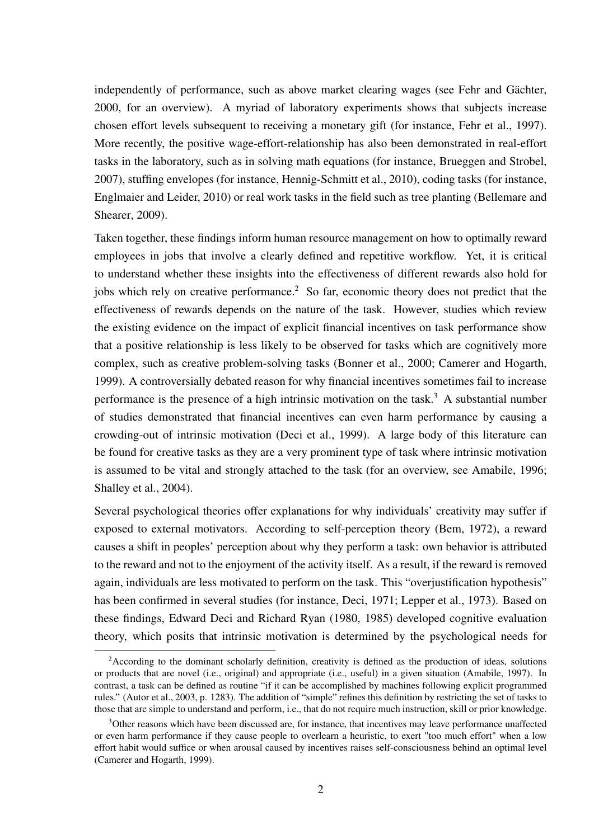independently of performance, such as above market clearing wages (see Fehr and Gächter, 2000, for an overview). A myriad of laboratory experiments shows that subjects increase chosen effort levels subsequent to receiving a monetary gift (for instance, Fehr et al., 1997). More recently, the positive wage-effort-relationship has also been demonstrated in real-effort tasks in the laboratory, such as in solving math equations (for instance, Brueggen and Strobel, 2007), stuffing envelopes (for instance, Hennig-Schmitt et al., 2010), coding tasks (for instance, Englmaier and Leider, 2010) or real work tasks in the field such as tree planting (Bellemare and Shearer, 2009).

Taken together, these findings inform human resource management on how to optimally reward employees in jobs that involve a clearly defined and repetitive workflow. Yet, it is critical to understand whether these insights into the effectiveness of different rewards also hold for jobs which rely on creative performance.<sup>2</sup> So far, economic theory does not predict that the effectiveness of rewards depends on the nature of the task. However, studies which review the existing evidence on the impact of explicit financial incentives on task performance show that a positive relationship is less likely to be observed for tasks which are cognitively more complex, such as creative problem-solving tasks (Bonner et al., 2000; Camerer and Hogarth, 1999). A controversially debated reason for why financial incentives sometimes fail to increase performance is the presence of a high intrinsic motivation on the task.<sup>3</sup> A substantial number of studies demonstrated that financial incentives can even harm performance by causing a crowding-out of intrinsic motivation (Deci et al., 1999). A large body of this literature can be found for creative tasks as they are a very prominent type of task where intrinsic motivation is assumed to be vital and strongly attached to the task (for an overview, see Amabile, 1996; Shalley et al., 2004).

Several psychological theories offer explanations for why individuals' creativity may suffer if exposed to external motivators. According to self-perception theory (Bem, 1972), a reward causes a shift in peoples' perception about why they perform a task: own behavior is attributed to the reward and not to the enjoyment of the activity itself. As a result, if the reward is removed again, individuals are less motivated to perform on the task. This "overjustification hypothesis" has been confirmed in several studies (for instance, Deci, 1971; Lepper et al., 1973). Based on these findings, Edward Deci and Richard Ryan (1980, 1985) developed cognitive evaluation theory, which posits that intrinsic motivation is determined by the psychological needs for

<sup>&</sup>lt;sup>2</sup>According to the dominant scholarly definition, creativity is defined as the production of ideas, solutions or products that are novel (i.e., original) and appropriate (i.e., useful) in a given situation (Amabile, 1997). In contrast, a task can be defined as routine "if it can be accomplished by machines following explicit programmed rules." (Autor et al., 2003, p. 1283). The addition of "simple" refines this definition by restricting the set of tasks to those that are simple to understand and perform, i.e., that do not require much instruction, skill or prior knowledge.

<sup>&</sup>lt;sup>3</sup>Other reasons which have been discussed are, for instance, that incentives may leave performance unaffected or even harm performance if they cause people to overlearn a heuristic, to exert "too much effort" when a low effort habit would suffice or when arousal caused by incentives raises self-consciousness behind an optimal level (Camerer and Hogarth, 1999).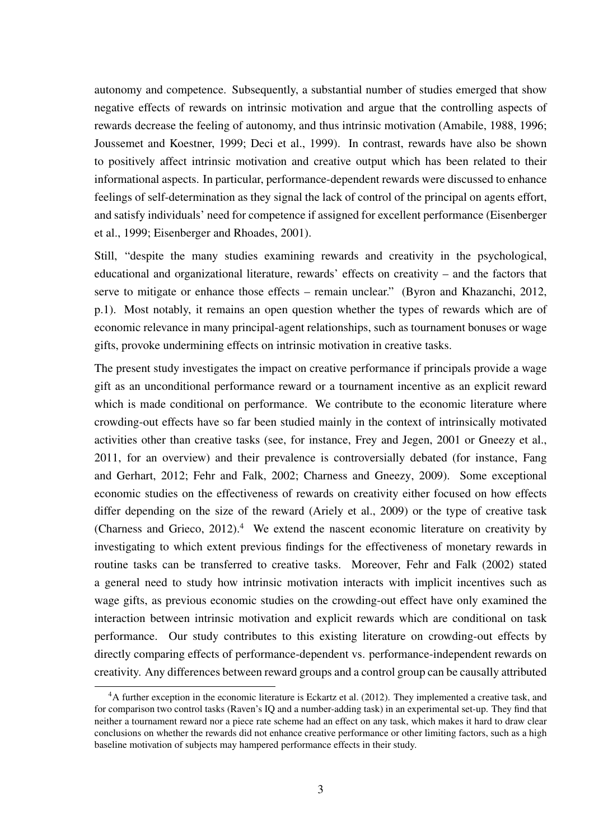autonomy and competence. Subsequently, a substantial number of studies emerged that show negative effects of rewards on intrinsic motivation and argue that the controlling aspects of rewards decrease the feeling of autonomy, and thus intrinsic motivation (Amabile, 1988, 1996; Joussemet and Koestner, 1999; Deci et al., 1999). In contrast, rewards have also be shown to positively affect intrinsic motivation and creative output which has been related to their informational aspects. In particular, performance-dependent rewards were discussed to enhance feelings of self-determination as they signal the lack of control of the principal on agents effort, and satisfy individuals' need for competence if assigned for excellent performance (Eisenberger et al., 1999; Eisenberger and Rhoades, 2001).

Still, "despite the many studies examining rewards and creativity in the psychological, educational and organizational literature, rewards' effects on creativity – and the factors that serve to mitigate or enhance those effects – remain unclear." (Byron and Khazanchi, 2012, p.1). Most notably, it remains an open question whether the types of rewards which are of economic relevance in many principal-agent relationships, such as tournament bonuses or wage gifts, provoke undermining effects on intrinsic motivation in creative tasks.

The present study investigates the impact on creative performance if principals provide a wage gift as an unconditional performance reward or a tournament incentive as an explicit reward which is made conditional on performance. We contribute to the economic literature where crowding-out effects have so far been studied mainly in the context of intrinsically motivated activities other than creative tasks (see, for instance, Frey and Jegen, 2001 or Gneezy et al., 2011, for an overview) and their prevalence is controversially debated (for instance, Fang and Gerhart, 2012; Fehr and Falk, 2002; Charness and Gneezy, 2009). Some exceptional economic studies on the effectiveness of rewards on creativity either focused on how effects differ depending on the size of the reward (Ariely et al., 2009) or the type of creative task (Charness and Grieco,  $2012$ ).<sup>4</sup> We extend the nascent economic literature on creativity by investigating to which extent previous findings for the effectiveness of monetary rewards in routine tasks can be transferred to creative tasks. Moreover, Fehr and Falk (2002) stated a general need to study how intrinsic motivation interacts with implicit incentives such as wage gifts, as previous economic studies on the crowding-out effect have only examined the interaction between intrinsic motivation and explicit rewards which are conditional on task performance. Our study contributes to this existing literature on crowding-out effects by directly comparing effects of performance-dependent vs. performance-independent rewards on creativity. Any differences between reward groups and a control group can be causally attributed

<sup>4</sup>A further exception in the economic literature is Eckartz et al. (2012). They implemented a creative task, and for comparison two control tasks (Raven's IQ and a number-adding task) in an experimental set-up. They find that neither a tournament reward nor a piece rate scheme had an effect on any task, which makes it hard to draw clear conclusions on whether the rewards did not enhance creative performance or other limiting factors, such as a high baseline motivation of subjects may hampered performance effects in their study.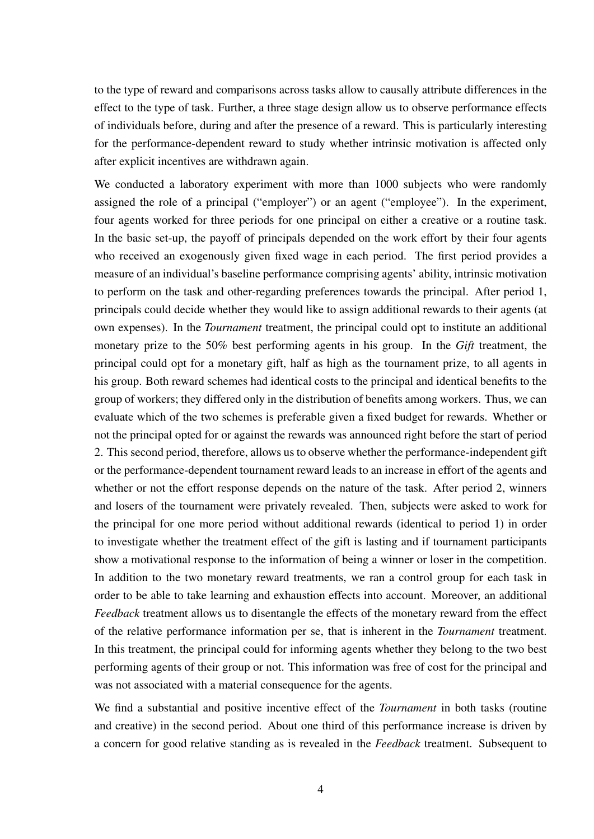to the type of reward and comparisons across tasks allow to causally attribute differences in the effect to the type of task. Further, a three stage design allow us to observe performance effects of individuals before, during and after the presence of a reward. This is particularly interesting for the performance-dependent reward to study whether intrinsic motivation is affected only after explicit incentives are withdrawn again.

We conducted a laboratory experiment with more than 1000 subjects who were randomly assigned the role of a principal ("employer") or an agent ("employee"). In the experiment, four agents worked for three periods for one principal on either a creative or a routine task. In the basic set-up, the payoff of principals depended on the work effort by their four agents who received an exogenously given fixed wage in each period. The first period provides a measure of an individual's baseline performance comprising agents' ability, intrinsic motivation to perform on the task and other-regarding preferences towards the principal. After period 1, principals could decide whether they would like to assign additional rewards to their agents (at own expenses). In the *Tournament* treatment, the principal could opt to institute an additional monetary prize to the 50% best performing agents in his group. In the *Gift* treatment, the principal could opt for a monetary gift, half as high as the tournament prize, to all agents in his group. Both reward schemes had identical costs to the principal and identical benefits to the group of workers; they differed only in the distribution of benefits among workers. Thus, we can evaluate which of the two schemes is preferable given a fixed budget for rewards. Whether or not the principal opted for or against the rewards was announced right before the start of period 2. This second period, therefore, allows us to observe whether the performance-independent gift or the performance-dependent tournament reward leads to an increase in effort of the agents and whether or not the effort response depends on the nature of the task. After period 2, winners and losers of the tournament were privately revealed. Then, subjects were asked to work for the principal for one more period without additional rewards (identical to period 1) in order to investigate whether the treatment effect of the gift is lasting and if tournament participants show a motivational response to the information of being a winner or loser in the competition. In addition to the two monetary reward treatments, we ran a control group for each task in order to be able to take learning and exhaustion effects into account. Moreover, an additional *Feedback* treatment allows us to disentangle the effects of the monetary reward from the effect of the relative performance information per se, that is inherent in the *Tournament* treatment. In this treatment, the principal could for informing agents whether they belong to the two best performing agents of their group or not. This information was free of cost for the principal and was not associated with a material consequence for the agents.

We find a substantial and positive incentive effect of the *Tournament* in both tasks (routine and creative) in the second period. About one third of this performance increase is driven by a concern for good relative standing as is revealed in the *Feedback* treatment. Subsequent to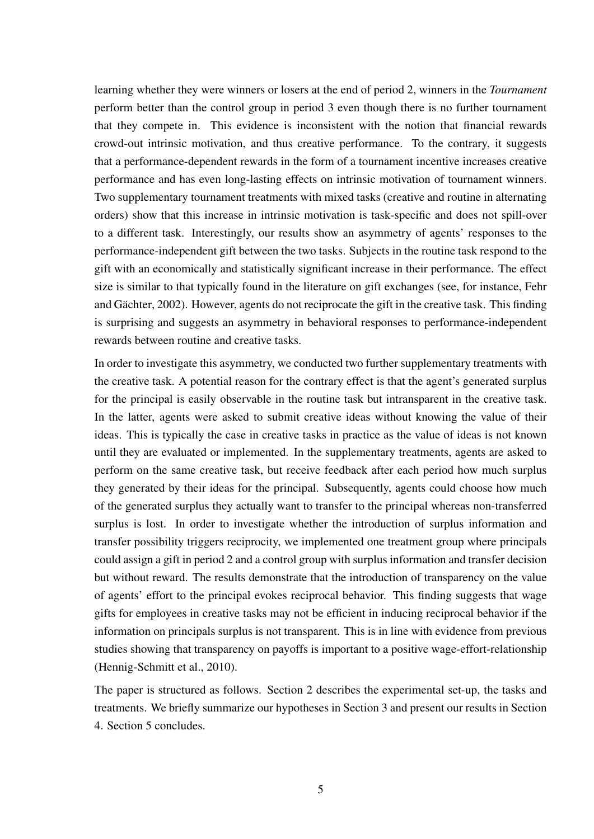learning whether they were winners or losers at the end of period 2, winners in the *Tournament* perform better than the control group in period 3 even though there is no further tournament that they compete in. This evidence is inconsistent with the notion that financial rewards crowd-out intrinsic motivation, and thus creative performance. To the contrary, it suggests that a performance-dependent rewards in the form of a tournament incentive increases creative performance and has even long-lasting effects on intrinsic motivation of tournament winners. Two supplementary tournament treatments with mixed tasks (creative and routine in alternating orders) show that this increase in intrinsic motivation is task-specific and does not spill-over to a different task. Interestingly, our results show an asymmetry of agents' responses to the performance-independent gift between the two tasks. Subjects in the routine task respond to the gift with an economically and statistically significant increase in their performance. The effect size is similar to that typically found in the literature on gift exchanges (see, for instance, Fehr and Gächter, 2002). However, agents do not reciprocate the gift in the creative task. This finding is surprising and suggests an asymmetry in behavioral responses to performance-independent rewards between routine and creative tasks.

In order to investigate this asymmetry, we conducted two further supplementary treatments with the creative task. A potential reason for the contrary effect is that the agent's generated surplus for the principal is easily observable in the routine task but intransparent in the creative task. In the latter, agents were asked to submit creative ideas without knowing the value of their ideas. This is typically the case in creative tasks in practice as the value of ideas is not known until they are evaluated or implemented. In the supplementary treatments, agents are asked to perform on the same creative task, but receive feedback after each period how much surplus they generated by their ideas for the principal. Subsequently, agents could choose how much of the generated surplus they actually want to transfer to the principal whereas non-transferred surplus is lost. In order to investigate whether the introduction of surplus information and transfer possibility triggers reciprocity, we implemented one treatment group where principals could assign a gift in period 2 and a control group with surplus information and transfer decision but without reward. The results demonstrate that the introduction of transparency on the value of agents' effort to the principal evokes reciprocal behavior. This finding suggests that wage gifts for employees in creative tasks may not be efficient in inducing reciprocal behavior if the information on principals surplus is not transparent. This is in line with evidence from previous studies showing that transparency on payoffs is important to a positive wage-effort-relationship (Hennig-Schmitt et al., 2010).

The paper is structured as follows. Section 2 describes the experimental set-up, the tasks and treatments. We briefly summarize our hypotheses in Section 3 and present our results in Section 4. Section 5 concludes.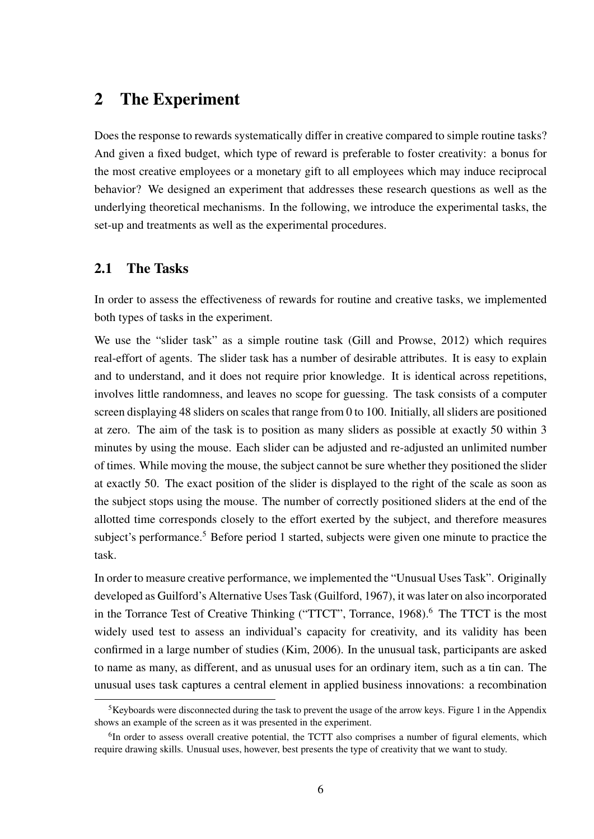### 2 The Experiment

Does the response to rewards systematically differ in creative compared to simple routine tasks? And given a fixed budget, which type of reward is preferable to foster creativity: a bonus for the most creative employees or a monetary gift to all employees which may induce reciprocal behavior? We designed an experiment that addresses these research questions as well as the underlying theoretical mechanisms. In the following, we introduce the experimental tasks, the set-up and treatments as well as the experimental procedures.

### 2.1 The Tasks

In order to assess the effectiveness of rewards for routine and creative tasks, we implemented both types of tasks in the experiment.

We use the "slider task" as a simple routine task (Gill and Prowse, 2012) which requires real-effort of agents. The slider task has a number of desirable attributes. It is easy to explain and to understand, and it does not require prior knowledge. It is identical across repetitions, involves little randomness, and leaves no scope for guessing. The task consists of a computer screen displaying 48 sliders on scales that range from 0 to 100. Initially, all sliders are positioned at zero. The aim of the task is to position as many sliders as possible at exactly 50 within 3 minutes by using the mouse. Each slider can be adjusted and re-adjusted an unlimited number of times. While moving the mouse, the subject cannot be sure whether they positioned the slider at exactly 50. The exact position of the slider is displayed to the right of the scale as soon as the subject stops using the mouse. The number of correctly positioned sliders at the end of the allotted time corresponds closely to the effort exerted by the subject, and therefore measures subject's performance.<sup>5</sup> Before period 1 started, subjects were given one minute to practice the task.

In order to measure creative performance, we implemented the "Unusual Uses Task". Originally developed as Guilford's Alternative Uses Task (Guilford, 1967), it was later on also incorporated in the Torrance Test of Creative Thinking ("TTCT", Torrance, 1968).<sup>6</sup> The TTCT is the most widely used test to assess an individual's capacity for creativity, and its validity has been confirmed in a large number of studies (Kim, 2006). In the unusual task, participants are asked to name as many, as different, and as unusual uses for an ordinary item, such as a tin can. The unusual uses task captures a central element in applied business innovations: a recombination

<sup>&</sup>lt;sup>5</sup>Keyboards were disconnected during the task to prevent the usage of the arrow keys. Figure 1 in the Appendix shows an example of the screen as it was presented in the experiment.

<sup>&</sup>lt;sup>6</sup>In order to assess overall creative potential, the TCTT also comprises a number of figural elements, which require drawing skills. Unusual uses, however, best presents the type of creativity that we want to study.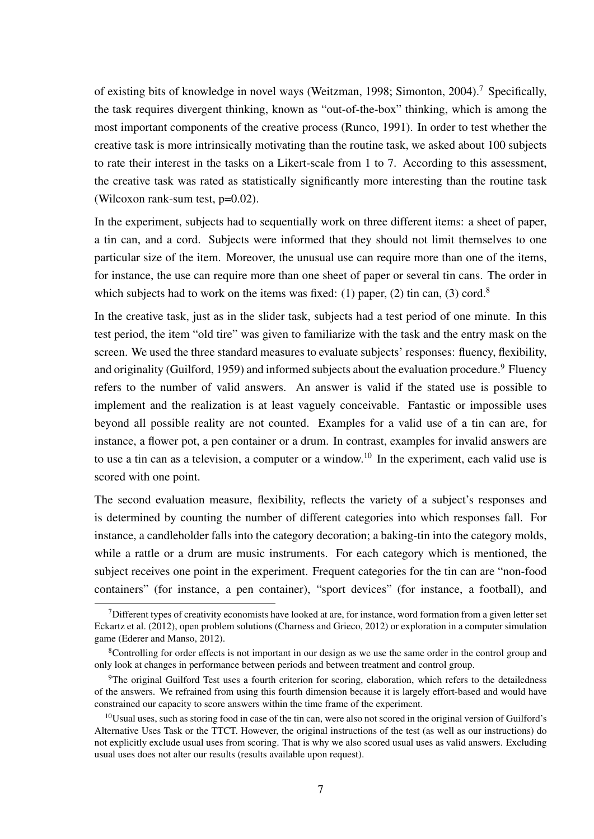of existing bits of knowledge in novel ways (Weitzman, 1998; Simonton, 2004).<sup>7</sup> Specifically, the task requires divergent thinking, known as "out-of-the-box" thinking, which is among the most important components of the creative process (Runco, 1991). In order to test whether the creative task is more intrinsically motivating than the routine task, we asked about 100 subjects to rate their interest in the tasks on a Likert-scale from 1 to 7. According to this assessment, the creative task was rated as statistically significantly more interesting than the routine task (Wilcoxon rank-sum test, p=0.02).

In the experiment, subjects had to sequentially work on three different items: a sheet of paper, a tin can, and a cord. Subjects were informed that they should not limit themselves to one particular size of the item. Moreover, the unusual use can require more than one of the items, for instance, the use can require more than one sheet of paper or several tin cans. The order in which subjects had to work on the items was fixed: (1) paper, (2) tin can, (3) cord.<sup>8</sup>

In the creative task, just as in the slider task, subjects had a test period of one minute. In this test period, the item "old tire" was given to familiarize with the task and the entry mask on the screen. We used the three standard measures to evaluate subjects' responses: fluency, flexibility, and originality (Guilford, 1959) and informed subjects about the evaluation procedure.<sup>9</sup> Fluency refers to the number of valid answers. An answer is valid if the stated use is possible to implement and the realization is at least vaguely conceivable. Fantastic or impossible uses beyond all possible reality are not counted. Examples for a valid use of a tin can are, for instance, a flower pot, a pen container or a drum. In contrast, examples for invalid answers are to use a tin can as a television, a computer or a window.<sup>10</sup> In the experiment, each valid use is scored with one point.

The second evaluation measure, flexibility, reflects the variety of a subject's responses and is determined by counting the number of different categories into which responses fall. For instance, a candleholder falls into the category decoration; a baking-tin into the category molds, while a rattle or a drum are music instruments. For each category which is mentioned, the subject receives one point in the experiment. Frequent categories for the tin can are "non-food containers" (for instance, a pen container), "sport devices" (for instance, a football), and

 $<sup>7</sup>$ Different types of creativity economists have looked at are, for instance, word formation from a given letter set</sup> Eckartz et al. (2012), open problem solutions (Charness and Grieco, 2012) or exploration in a computer simulation game (Ederer and Manso, 2012).

<sup>&</sup>lt;sup>8</sup>Controlling for order effects is not important in our design as we use the same order in the control group and only look at changes in performance between periods and between treatment and control group.

<sup>&</sup>lt;sup>9</sup>The original Guilford Test uses a fourth criterion for scoring, elaboration, which refers to the detailedness of the answers. We refrained from using this fourth dimension because it is largely effort-based and would have constrained our capacity to score answers within the time frame of the experiment.

 $10$ Usual uses, such as storing food in case of the tin can, were also not scored in the original version of Guilford's Alternative Uses Task or the TTCT. However, the original instructions of the test (as well as our instructions) do not explicitly exclude usual uses from scoring. That is why we also scored usual uses as valid answers. Excluding usual uses does not alter our results (results available upon request).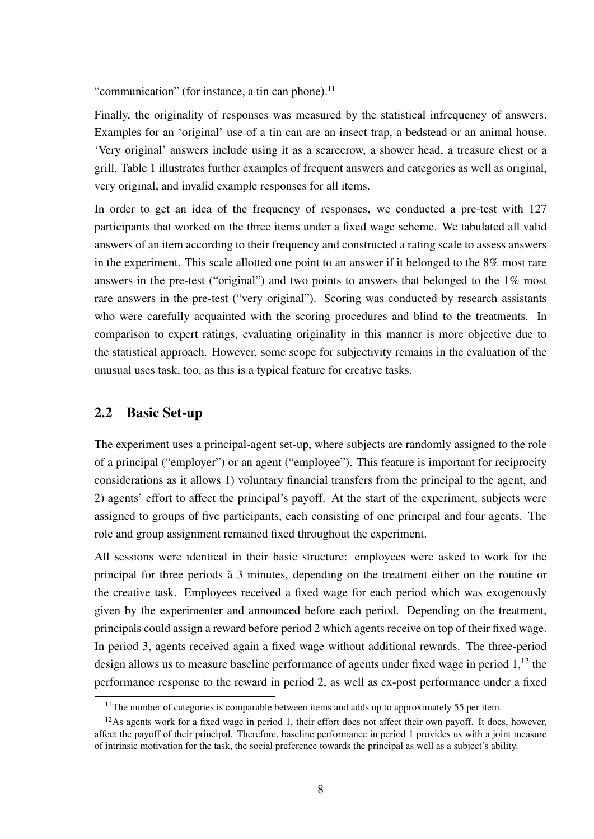"communication" (for instance, a tin can phone). $^{11}$ 

Finally, the originality of responses was measured by the statistical infrequency of answers. Examples for an 'original' use of a tin can are an insect trap, a bedstead or an animal house. 'Very original' answers include using it as a scarecrow, a shower head, a treasure chest or a grill. Table 1 illustrates further examples of frequent answers and categories as well as original, very original, and invalid example responses for all items.

In order to get an idea of the frequency of responses, we conducted a pre-test with 127 participants that worked on the three items under a fixed wage scheme. We tabulated all valid answers of an item according to their frequency and constructed a rating scale to assess answers in the experiment. This scale allotted one point to an answer if it belonged to the 8% most rare answers in the pre-test ("original") and two points to answers that belonged to the 1% most rare answers in the pre-test ("very original"). Scoring was conducted by research assistants who were carefully acquainted with the scoring procedures and blind to the treatments. In comparison to expert ratings, evaluating originality in this manner is more objective due to the statistical approach. However, some scope for subjectivity remains in the evaluation of the unusual uses task, too, as this is a typical feature for creative tasks.

### 2.2 Basic Set-up

The experiment uses a principal-agent set-up, where subjects are randomly assigned to the role of a principal ("employer") or an agent ("employee"). This feature is important for reciprocity considerations as it allows 1) voluntary financial transfers from the principal to the agent, and 2) agents' effort to affect the principal's payoff. At the start of the experiment, subjects were assigned to groups of five participants, each consisting of one principal and four agents. The role and group assignment remained fixed throughout the experiment.

All sessions were identical in their basic structure: employees were asked to work for the principal for three periods à 3 minutes, depending on the treatment either on the routine or the creative task. Employees received a fixed wage for each period which was exogenously given by the experimenter and announced before each period. Depending on the treatment, principals could assign a reward before period 2 which agents receive on top of their fixed wage. In period 3, agents received again a fixed wage without additional rewards. The three-period design allows us to measure baseline performance of agents under fixed wage in period  $1<sup>12</sup>$ , the performance response to the reward in period 2, as well as ex-post performance under a fixed

<sup>&</sup>lt;sup>11</sup>The number of categories is comparable between items and adds up to approximately 55 per item.

 $12$ As agents work for a fixed wage in period 1, their effort does not affect their own payoff. It does, however, affect the payoff of their principal. Therefore, baseline performance in period 1 provides us with a joint measure of intrinsic motivation for the task, the social preference towards the principal as well as a subject's ability.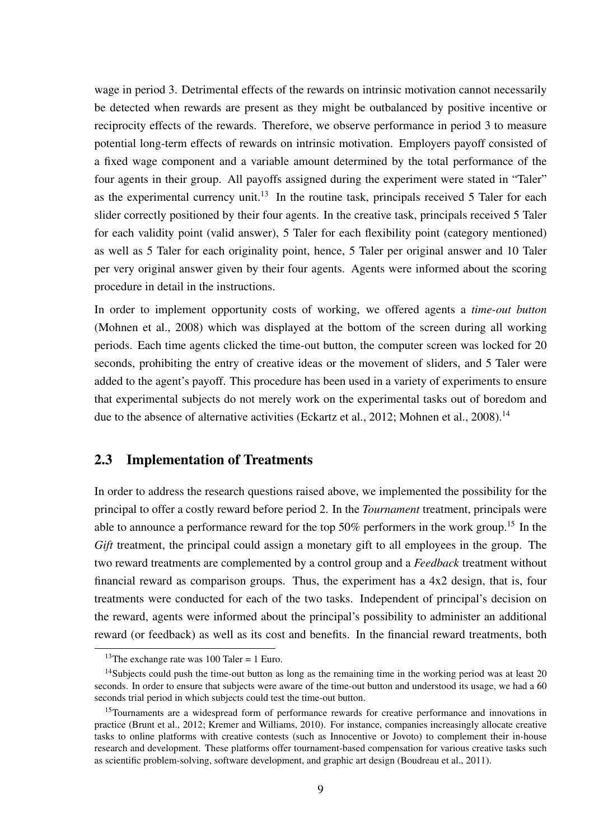wage in period 3. Detrimental effects of the rewards on intrinsic motivation cannot necessarily be detected when rewards are present as they might be outbalanced by positive incentive or reciprocity effects of the rewards. Therefore, we observe performance in period 3 to measure potential long-term effects of rewards on intrinsic motivation. Employers payoff consisted of a fixed wage component and a variable amount determined by the total performance of the four agents in their group. All payoffs assigned during the experiment were stated in "Taler" as the experimental currency unit.<sup>13</sup> In the routine task, principals received 5 Taler for each slider correctly positioned by their four agents. In the creative task, principals received 5 Taler for each validity point (valid answer), 5 Taler for each flexibility point (category mentioned) as well as 5 Taler for each originality point, hence, 5 Taler per original answer and 10 Taler per very original answer given by their four agents. Agents were informed about the scoring procedure in detail in the instructions.

In order to implement opportunity costs of working, we offered agents a *time-out button* (Mohnen et al., 2008) which was displayed at the bottom of the screen during all working periods. Each time agents clicked the time-out button, the computer screen was locked for 20 seconds, prohibiting the entry of creative ideas or the movement of sliders, and 5 Taler were added to the agent's payoff. This procedure has been used in a variety of experiments to ensure that experimental subjects do not merely work on the experimental tasks out of boredom and due to the absence of alternative activities (Eckartz et al., 2012; Mohnen et al., 2008).<sup>14</sup>

### 2.3 Implementation of Treatments

In order to address the research questions raised above, we implemented the possibility for the principal to offer a costly reward before period 2. In the *Tournament* treatment, principals were able to announce a performance reward for the top 50% performers in the work group.<sup>15</sup> In the *Gift* treatment, the principal could assign a monetary gift to all employees in the group. The two reward treatments are complemented by a control group and a *Feedback* treatment without financial reward as comparison groups. Thus, the experiment has a 4x2 design, that is, four treatments were conducted for each of the two tasks. Independent of principal's decision on the reward, agents were informed about the principal's possibility to administer an additional reward (or feedback) as well as its cost and benefits. In the financial reward treatments, both

<sup>&</sup>lt;sup>13</sup>The exchange rate was  $100$  Taler = 1 Euro.

<sup>&</sup>lt;sup>14</sup>Subjects could push the time-out button as long as the remaining time in the working period was at least 20 seconds. In order to ensure that subjects were aware of the time-out button and understood its usage, we had a 60 seconds trial period in which subjects could test the time-out button.

<sup>&</sup>lt;sup>15</sup>Tournaments are a widespread form of performance rewards for creative performance and innovations in practice (Brunt et al., 2012; Kremer and Williams, 2010). For instance, companies increasingly allocate creative tasks to online platforms with creative contests (such as Innocentive or Jovoto) to complement their in-house research and development. These platforms offer tournament-based compensation for various creative tasks such as scientific problem-solving, software development, and graphic art design (Boudreau et al., 2011).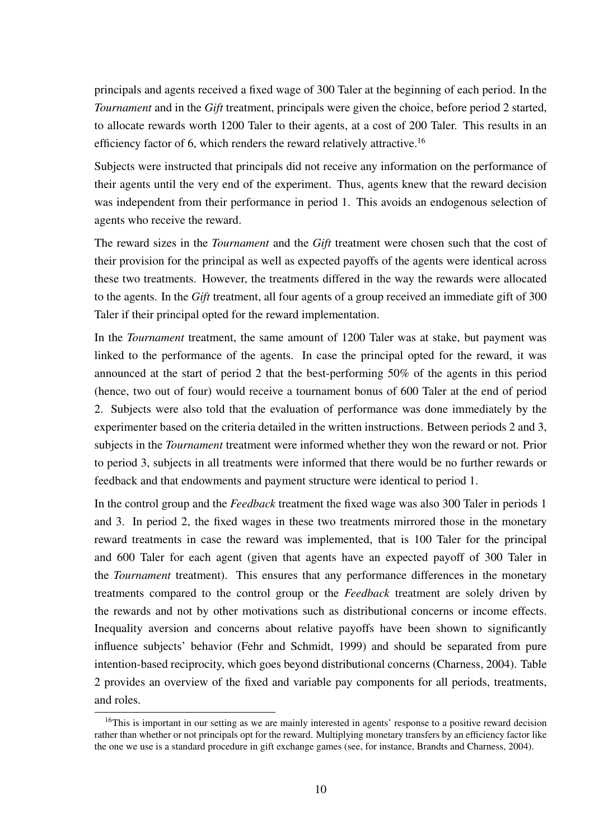principals and agents received a fixed wage of 300 Taler at the beginning of each period. In the *Tournament* and in the *Gift* treatment, principals were given the choice, before period 2 started, to allocate rewards worth 1200 Taler to their agents, at a cost of 200 Taler. This results in an efficiency factor of 6, which renders the reward relatively attractive.<sup>16</sup>

Subjects were instructed that principals did not receive any information on the performance of their agents until the very end of the experiment. Thus, agents knew that the reward decision was independent from their performance in period 1. This avoids an endogenous selection of agents who receive the reward.

The reward sizes in the *Tournament* and the *Gift* treatment were chosen such that the cost of their provision for the principal as well as expected payoffs of the agents were identical across these two treatments. However, the treatments differed in the way the rewards were allocated to the agents. In the *Gift* treatment, all four agents of a group received an immediate gift of 300 Taler if their principal opted for the reward implementation.

In the *Tournament* treatment, the same amount of 1200 Taler was at stake, but payment was linked to the performance of the agents. In case the principal opted for the reward, it was announced at the start of period 2 that the best-performing 50% of the agents in this period (hence, two out of four) would receive a tournament bonus of 600 Taler at the end of period 2. Subjects were also told that the evaluation of performance was done immediately by the experimenter based on the criteria detailed in the written instructions. Between periods 2 and 3, subjects in the *Tournament* treatment were informed whether they won the reward or not. Prior to period 3, subjects in all treatments were informed that there would be no further rewards or feedback and that endowments and payment structure were identical to period 1.

In the control group and the *Feedback* treatment the fixed wage was also 300 Taler in periods 1 and 3. In period 2, the fixed wages in these two treatments mirrored those in the monetary reward treatments in case the reward was implemented, that is 100 Taler for the principal and 600 Taler for each agent (given that agents have an expected payoff of 300 Taler in the *Tournament* treatment). This ensures that any performance differences in the monetary treatments compared to the control group or the *Feedback* treatment are solely driven by the rewards and not by other motivations such as distributional concerns or income effects. Inequality aversion and concerns about relative payoffs have been shown to significantly influence subjects' behavior (Fehr and Schmidt, 1999) and should be separated from pure intention-based reciprocity, which goes beyond distributional concerns (Charness, 2004). Table 2 provides an overview of the fixed and variable pay components for all periods, treatments, and roles.

<sup>&</sup>lt;sup>16</sup>This is important in our setting as we are mainly interested in agents' response to a positive reward decision rather than whether or not principals opt for the reward. Multiplying monetary transfers by an efficiency factor like the one we use is a standard procedure in gift exchange games (see, for instance, Brandts and Charness, 2004).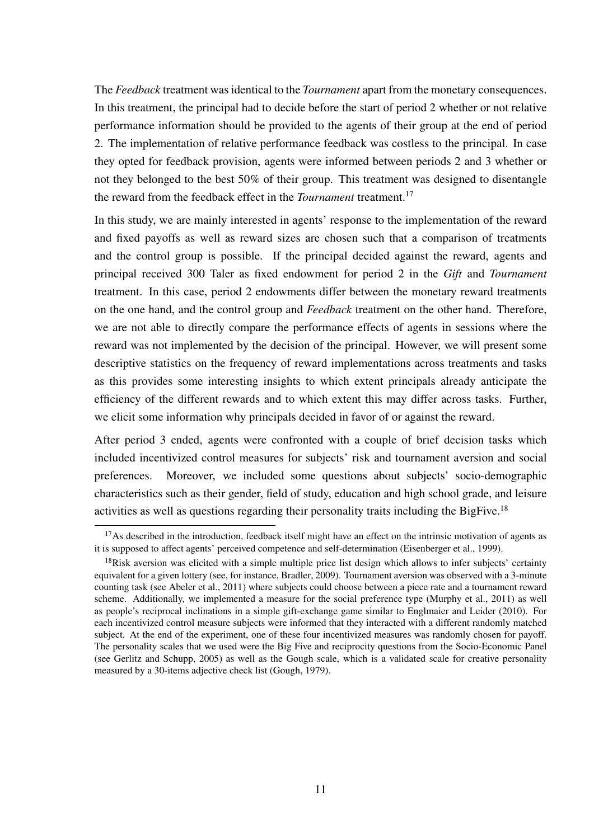The *Feedback* treatment was identical to the *Tournament* apart from the monetary consequences. In this treatment, the principal had to decide before the start of period 2 whether or not relative performance information should be provided to the agents of their group at the end of period 2. The implementation of relative performance feedback was costless to the principal. In case they opted for feedback provision, agents were informed between periods 2 and 3 whether or not they belonged to the best 50% of their group. This treatment was designed to disentangle the reward from the feedback effect in the *Tournament* treatment.<sup>17</sup>

In this study, we are mainly interested in agents' response to the implementation of the reward and fixed payoffs as well as reward sizes are chosen such that a comparison of treatments and the control group is possible. If the principal decided against the reward, agents and principal received 300 Taler as fixed endowment for period 2 in the *Gift* and *Tournament* treatment. In this case, period 2 endowments differ between the monetary reward treatments on the one hand, and the control group and *Feedback* treatment on the other hand. Therefore, we are not able to directly compare the performance effects of agents in sessions where the reward was not implemented by the decision of the principal. However, we will present some descriptive statistics on the frequency of reward implementations across treatments and tasks as this provides some interesting insights to which extent principals already anticipate the efficiency of the different rewards and to which extent this may differ across tasks. Further, we elicit some information why principals decided in favor of or against the reward.

After period 3 ended, agents were confronted with a couple of brief decision tasks which included incentivized control measures for subjects' risk and tournament aversion and social preferences. Moreover, we included some questions about subjects' socio-demographic characteristics such as their gender, field of study, education and high school grade, and leisure activities as well as questions regarding their personality traits including the BigFive.<sup>18</sup>

 $17$ As described in the introduction, feedback itself might have an effect on the intrinsic motivation of agents as it is supposed to affect agents' perceived competence and self-determination (Eisenberger et al., 1999).

<sup>&</sup>lt;sup>18</sup>Risk aversion was elicited with a simple multiple price list design which allows to infer subjects' certainty equivalent for a given lottery (see, for instance, Bradler, 2009). Tournament aversion was observed with a 3-minute counting task (see Abeler et al., 2011) where subjects could choose between a piece rate and a tournament reward scheme. Additionally, we implemented a measure for the social preference type (Murphy et al., 2011) as well as people's reciprocal inclinations in a simple gift-exchange game similar to Englmaier and Leider (2010). For each incentivized control measure subjects were informed that they interacted with a different randomly matched subject. At the end of the experiment, one of these four incentivized measures was randomly chosen for payoff. The personality scales that we used were the Big Five and reciprocity questions from the Socio-Economic Panel (see Gerlitz and Schupp, 2005) as well as the Gough scale, which is a validated scale for creative personality measured by a 30-items adjective check list (Gough, 1979).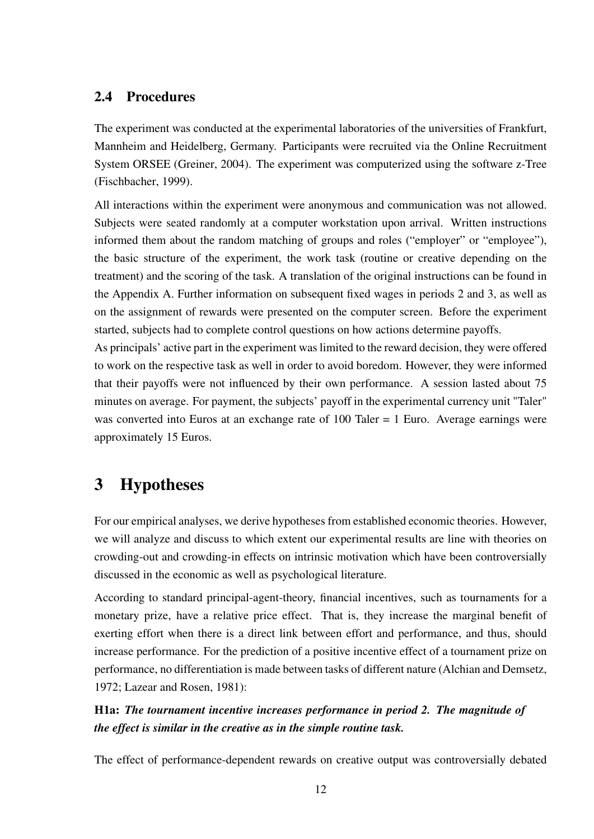### 2.4 Procedures

The experiment was conducted at the experimental laboratories of the universities of Frankfurt, Mannheim and Heidelberg, Germany. Participants were recruited via the Online Recruitment System ORSEE (Greiner, 2004). The experiment was computerized using the software z-Tree (Fischbacher, 1999).

All interactions within the experiment were anonymous and communication was not allowed. Subjects were seated randomly at a computer workstation upon arrival. Written instructions informed them about the random matching of groups and roles ("employer" or "employee"), the basic structure of the experiment, the work task (routine or creative depending on the treatment) and the scoring of the task. A translation of the original instructions can be found in the Appendix A. Further information on subsequent fixed wages in periods 2 and 3, as well as on the assignment of rewards were presented on the computer screen. Before the experiment started, subjects had to complete control questions on how actions determine payoffs.

As principals' active part in the experiment was limited to the reward decision, they were offered to work on the respective task as well in order to avoid boredom. However, they were informed that their payoffs were not influenced by their own performance. A session lasted about 75 minutes on average. For payment, the subjects' payoff in the experimental currency unit "Taler" was converted into Euros at an exchange rate of 100 Taler = 1 Euro. Average earnings were approximately 15 Euros.

# 3 Hypotheses

For our empirical analyses, we derive hypotheses from established economic theories. However, we will analyze and discuss to which extent our experimental results are line with theories on crowding-out and crowding-in effects on intrinsic motivation which have been controversially discussed in the economic as well as psychological literature.

According to standard principal-agent-theory, financial incentives, such as tournaments for a monetary prize, have a relative price effect. That is, they increase the marginal benefit of exerting effort when there is a direct link between effort and performance, and thus, should increase performance. For the prediction of a positive incentive effect of a tournament prize on performance, no differentiation is made between tasks of different nature (Alchian and Demsetz, 1972; Lazear and Rosen, 1981):

### H1a: *The tournament incentive increases performance in period 2. The magnitude of the effect is similar in the creative as in the simple routine task.*

The effect of performance-dependent rewards on creative output was controversially debated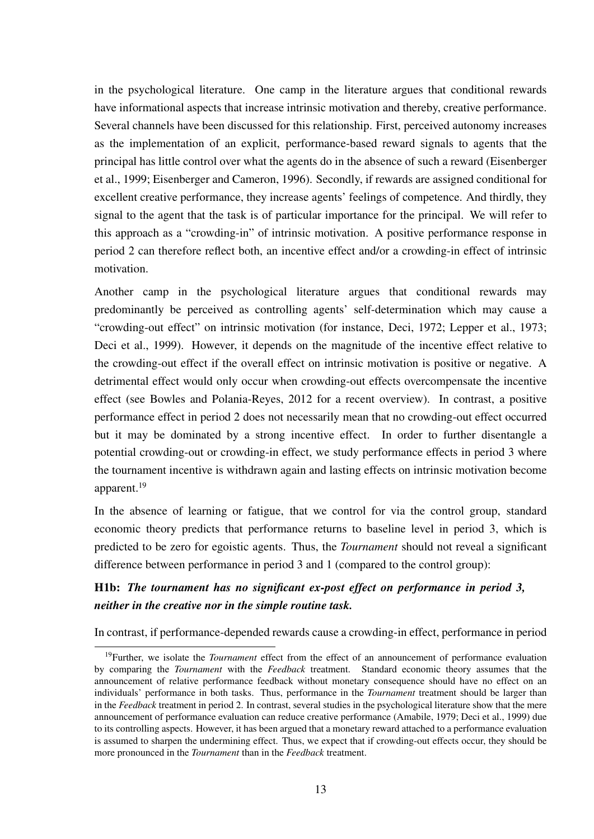in the psychological literature. One camp in the literature argues that conditional rewards have informational aspects that increase intrinsic motivation and thereby, creative performance. Several channels have been discussed for this relationship. First, perceived autonomy increases as the implementation of an explicit, performance-based reward signals to agents that the principal has little control over what the agents do in the absence of such a reward (Eisenberger et al., 1999; Eisenberger and Cameron, 1996). Secondly, if rewards are assigned conditional for excellent creative performance, they increase agents' feelings of competence. And thirdly, they signal to the agent that the task is of particular importance for the principal. We will refer to this approach as a "crowding-in" of intrinsic motivation. A positive performance response in period 2 can therefore reflect both, an incentive effect and/or a crowding-in effect of intrinsic motivation.

Another camp in the psychological literature argues that conditional rewards may predominantly be perceived as controlling agents' self-determination which may cause a "crowding-out effect" on intrinsic motivation (for instance, Deci, 1972; Lepper et al., 1973; Deci et al., 1999). However, it depends on the magnitude of the incentive effect relative to the crowding-out effect if the overall effect on intrinsic motivation is positive or negative. A detrimental effect would only occur when crowding-out effects overcompensate the incentive effect (see Bowles and Polania-Reyes, 2012 for a recent overview). In contrast, a positive performance effect in period 2 does not necessarily mean that no crowding-out effect occurred but it may be dominated by a strong incentive effect. In order to further disentangle a potential crowding-out or crowding-in effect, we study performance effects in period 3 where the tournament incentive is withdrawn again and lasting effects on intrinsic motivation become apparent.<sup>19</sup>

In the absence of learning or fatigue, that we control for via the control group, standard economic theory predicts that performance returns to baseline level in period 3, which is predicted to be zero for egoistic agents. Thus, the *Tournament* should not reveal a significant difference between performance in period 3 and 1 (compared to the control group):

### H1b: *The tournament has no significant ex-post effect on performance in period 3, neither in the creative nor in the simple routine task.*

In contrast, if performance-depended rewards cause a crowding-in effect, performance in period

<sup>19</sup>Further, we isolate the *Tournament* effect from the effect of an announcement of performance evaluation by comparing the *Tournament* with the *Feedback* treatment. Standard economic theory assumes that the announcement of relative performance feedback without monetary consequence should have no effect on an individuals' performance in both tasks. Thus, performance in the *Tournament* treatment should be larger than in the *Feedback* treatment in period 2. In contrast, several studies in the psychological literature show that the mere announcement of performance evaluation can reduce creative performance (Amabile, 1979; Deci et al., 1999) due to its controlling aspects. However, it has been argued that a monetary reward attached to a performance evaluation is assumed to sharpen the undermining effect. Thus, we expect that if crowding-out effects occur, they should be more pronounced in the *Tournament* than in the *Feedback* treatment.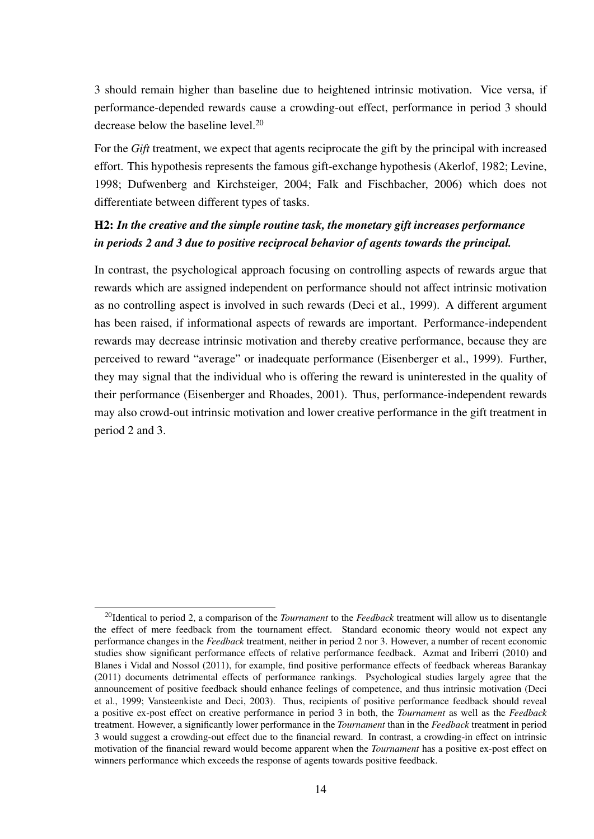3 should remain higher than baseline due to heightened intrinsic motivation. Vice versa, if performance-depended rewards cause a crowding-out effect, performance in period 3 should decrease below the baseline level.<sup>20</sup>

For the *Gift* treatment, we expect that agents reciprocate the gift by the principal with increased effort. This hypothesis represents the famous gift-exchange hypothesis (Akerlof, 1982; Levine, 1998; Dufwenberg and Kirchsteiger, 2004; Falk and Fischbacher, 2006) which does not differentiate between different types of tasks.

### H2: *In the creative and the simple routine task, the monetary gift increases performance in periods 2 and 3 due to positive reciprocal behavior of agents towards the principal.*

In contrast, the psychological approach focusing on controlling aspects of rewards argue that rewards which are assigned independent on performance should not affect intrinsic motivation as no controlling aspect is involved in such rewards (Deci et al., 1999). A different argument has been raised, if informational aspects of rewards are important. Performance-independent rewards may decrease intrinsic motivation and thereby creative performance, because they are perceived to reward "average" or inadequate performance (Eisenberger et al., 1999). Further, they may signal that the individual who is offering the reward is uninterested in the quality of their performance (Eisenberger and Rhoades, 2001). Thus, performance-independent rewards may also crowd-out intrinsic motivation and lower creative performance in the gift treatment in period 2 and 3.

<sup>20</sup>Identical to period 2, a comparison of the *Tournament* to the *Feedback* treatment will allow us to disentangle the effect of mere feedback from the tournament effect. Standard economic theory would not expect any performance changes in the *Feedback* treatment, neither in period 2 nor 3. However, a number of recent economic studies show significant performance effects of relative performance feedback. Azmat and Iriberri (2010) and Blanes i Vidal and Nossol (2011), for example, find positive performance effects of feedback whereas Barankay (2011) documents detrimental effects of performance rankings. Psychological studies largely agree that the announcement of positive feedback should enhance feelings of competence, and thus intrinsic motivation (Deci et al., 1999; Vansteenkiste and Deci, 2003). Thus, recipients of positive performance feedback should reveal a positive ex-post effect on creative performance in period 3 in both, the *Tournament* as well as the *Feedback* treatment. However, a significantly lower performance in the *Tournament* than in the *Feedback* treatment in period 3 would suggest a crowding-out effect due to the financial reward. In contrast, a crowding-in effect on intrinsic motivation of the financial reward would become apparent when the *Tournament* has a positive ex-post effect on winners performance which exceeds the response of agents towards positive feedback.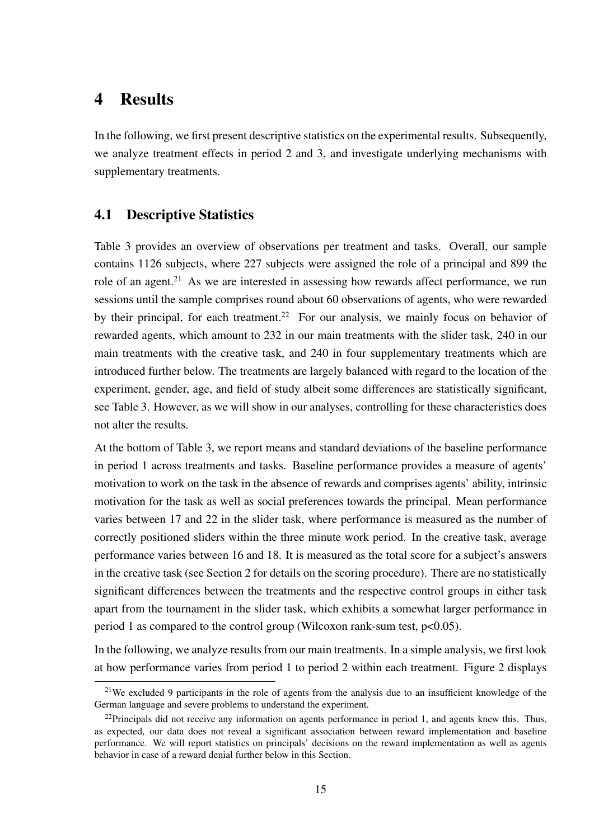### 4 Results

In the following, we first present descriptive statistics on the experimental results. Subsequently, we analyze treatment effects in period 2 and 3, and investigate underlying mechanisms with supplementary treatments.

### 4.1 Descriptive Statistics

Table 3 provides an overview of observations per treatment and tasks. Overall, our sample contains 1126 subjects, where 227 subjects were assigned the role of a principal and 899 the role of an agent.<sup>21</sup> As we are interested in assessing how rewards affect performance, we run sessions until the sample comprises round about 60 observations of agents, who were rewarded by their principal, for each treatment.<sup>22</sup> For our analysis, we mainly focus on behavior of rewarded agents, which amount to 232 in our main treatments with the slider task, 240 in our main treatments with the creative task, and 240 in four supplementary treatments which are introduced further below. The treatments are largely balanced with regard to the location of the experiment, gender, age, and field of study albeit some differences are statistically significant, see Table 3. However, as we will show in our analyses, controlling for these characteristics does not alter the results.

At the bottom of Table 3, we report means and standard deviations of the baseline performance in period 1 across treatments and tasks. Baseline performance provides a measure of agents' motivation to work on the task in the absence of rewards and comprises agents' ability, intrinsic motivation for the task as well as social preferences towards the principal. Mean performance varies between 17 and 22 in the slider task, where performance is measured as the number of correctly positioned sliders within the three minute work period. In the creative task, average performance varies between 16 and 18. It is measured as the total score for a subject's answers in the creative task (see Section 2 for details on the scoring procedure). There are no statistically significant differences between the treatments and the respective control groups in either task apart from the tournament in the slider task, which exhibits a somewhat larger performance in period 1 as compared to the control group (Wilcoxon rank-sum test, p<0.05).

In the following, we analyze results from our main treatments. In a simple analysis, we first look at how performance varies from period 1 to period 2 within each treatment. Figure 2 displays

<sup>&</sup>lt;sup>21</sup>We excluded 9 participants in the role of agents from the analysis due to an insufficient knowledge of the German language and severe problems to understand the experiment.

 $^{22}$ Principals did not receive any information on agents performance in period 1, and agents knew this. Thus, as expected, our data does not reveal a significant association between reward implementation and baseline performance. We will report statistics on principals' decisions on the reward implementation as well as agents behavior in case of a reward denial further below in this Section.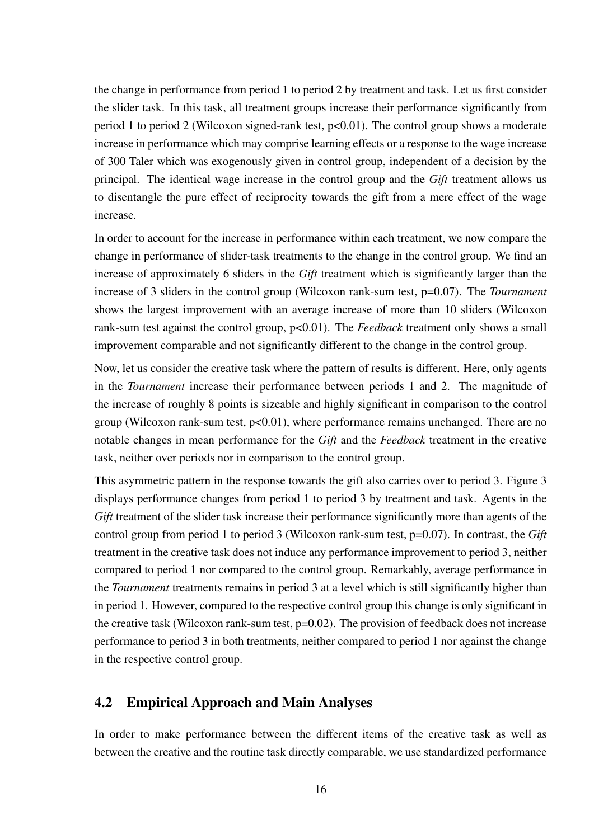the change in performance from period 1 to period 2 by treatment and task. Let us first consider the slider task. In this task, all treatment groups increase their performance significantly from period 1 to period 2 (Wilcoxon signed-rank test, p<0.01). The control group shows a moderate increase in performance which may comprise learning effects or a response to the wage increase of 300 Taler which was exogenously given in control group, independent of a decision by the principal. The identical wage increase in the control group and the *Gift* treatment allows us to disentangle the pure effect of reciprocity towards the gift from a mere effect of the wage increase.

In order to account for the increase in performance within each treatment, we now compare the change in performance of slider-task treatments to the change in the control group. We find an increase of approximately 6 sliders in the *Gift* treatment which is significantly larger than the increase of 3 sliders in the control group (Wilcoxon rank-sum test, p=0.07). The *Tournament* shows the largest improvement with an average increase of more than 10 sliders (Wilcoxon rank-sum test against the control group,  $p<0.01$ ). The *Feedback* treatment only shows a small improvement comparable and not significantly different to the change in the control group.

Now, let us consider the creative task where the pattern of results is different. Here, only agents in the *Tournament* increase their performance between periods 1 and 2. The magnitude of the increase of roughly 8 points is sizeable and highly significant in comparison to the control group (Wilcoxon rank-sum test,  $p<0.01$ ), where performance remains unchanged. There are no notable changes in mean performance for the *Gift* and the *Feedback* treatment in the creative task, neither over periods nor in comparison to the control group.

This asymmetric pattern in the response towards the gift also carries over to period 3. Figure 3 displays performance changes from period 1 to period 3 by treatment and task. Agents in the *Gift* treatment of the slider task increase their performance significantly more than agents of the control group from period 1 to period 3 (Wilcoxon rank-sum test, p=0.07). In contrast, the *Gift* treatment in the creative task does not induce any performance improvement to period 3, neither compared to period 1 nor compared to the control group. Remarkably, average performance in the *Tournament* treatments remains in period 3 at a level which is still significantly higher than in period 1. However, compared to the respective control group this change is only significant in the creative task (Wilcoxon rank-sum test, p=0.02). The provision of feedback does not increase performance to period 3 in both treatments, neither compared to period 1 nor against the change in the respective control group.

### 4.2 Empirical Approach and Main Analyses

In order to make performance between the different items of the creative task as well as between the creative and the routine task directly comparable, we use standardized performance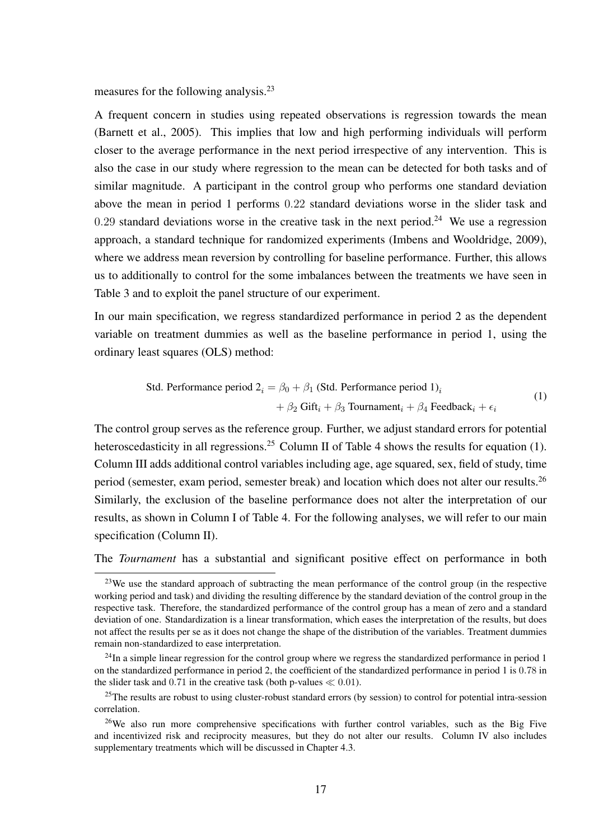measures for the following analysis.<sup>23</sup>

A frequent concern in studies using repeated observations is regression towards the mean (Barnett et al., 2005). This implies that low and high performing individuals will perform closer to the average performance in the next period irrespective of any intervention. This is also the case in our study where regression to the mean can be detected for both tasks and of similar magnitude. A participant in the control group who performs one standard deviation above the mean in period 1 performs 0.22 standard deviations worse in the slider task and 0.29 standard deviations worse in the creative task in the next period.<sup>24</sup> We use a regression approach, a standard technique for randomized experiments (Imbens and Wooldridge, 2009), where we address mean reversion by controlling for baseline performance. Further, this allows us to additionally to control for the some imbalances between the treatments we have seen in Table 3 and to exploit the panel structure of our experiment.

In our main specification, we regress standardized performance in period 2 as the dependent variable on treatment dummies as well as the baseline performance in period 1, using the ordinary least squares (OLS) method:

Std. Performance period 
$$
2_i = \beta_0 + \beta_1
$$
 (Std. Performance period 1)<sub>i</sub>

\n
$$
+ \beta_2 \text{ Gift}_i + \beta_3 \text{ Tournament}_i + \beta_4 \text{ Feedback}_i + \epsilon_i
$$
\n(1)

The control group serves as the reference group. Further, we adjust standard errors for potential heteroscedasticity in all regressions.<sup>25</sup> Column II of Table 4 shows the results for equation (1). Column III adds additional control variables including age, age squared, sex, field of study, time period (semester, exam period, semester break) and location which does not alter our results.<sup>26</sup> Similarly, the exclusion of the baseline performance does not alter the interpretation of our results, as shown in Column I of Table 4. For the following analyses, we will refer to our main specification (Column II).

The *Tournament* has a substantial and significant positive effect on performance in both

<sup>&</sup>lt;sup>23</sup>We use the standard approach of subtracting the mean performance of the control group (in the respective working period and task) and dividing the resulting difference by the standard deviation of the control group in the respective task. Therefore, the standardized performance of the control group has a mean of zero and a standard deviation of one. Standardization is a linear transformation, which eases the interpretation of the results, but does not affect the results per se as it does not change the shape of the distribution of the variables. Treatment dummies remain non-standardized to ease interpretation.

 $^{24}$ In a simple linear regression for the control group where we regress the standardized performance in period 1 on the standardized performance in period 2, the coefficient of the standardized performance in period 1 is 0.78 in the slider task and 0.71 in the creative task (both p-values  $\ll 0.01$ ).

<sup>&</sup>lt;sup>25</sup>The results are robust to using cluster-robust standard errors (by session) to control for potential intra-session correlation.

<sup>&</sup>lt;sup>26</sup>We also run more comprehensive specifications with further control variables, such as the Big Five and incentivized risk and reciprocity measures, but they do not alter our results. Column IV also includes supplementary treatments which will be discussed in Chapter 4.3.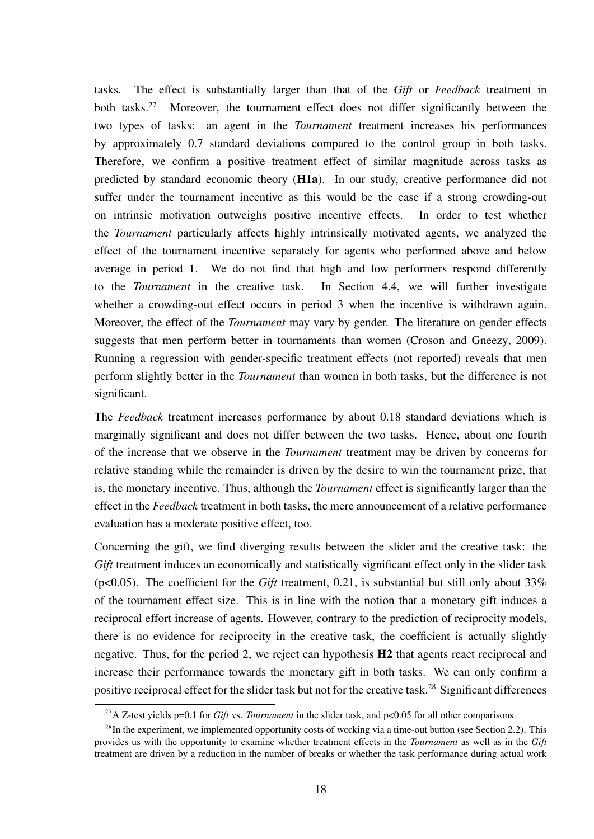tasks. The effect is substantially larger than that of the *Gift* or *Feedback* treatment in both tasks.<sup>27</sup> Moreover, the tournament effect does not differ significantly between the two types of tasks: an agent in the *Tournament* treatment increases his performances by approximately 0.7 standard deviations compared to the control group in both tasks. Therefore, we confirm a positive treatment effect of similar magnitude across tasks as predicted by standard economic theory (H1a). In our study, creative performance did not suffer under the tournament incentive as this would be the case if a strong crowding-out on intrinsic motivation outweighs positive incentive effects. In order to test whether the *Tournament* particularly affects highly intrinsically motivated agents, we analyzed the effect of the tournament incentive separately for agents who performed above and below average in period 1. We do not find that high and low performers respond differently to the *Tournament* in the creative task. In Section 4.4, we will further investigate whether a crowding-out effect occurs in period 3 when the incentive is withdrawn again. Moreover, the effect of the *Tournament* may vary by gender. The literature on gender effects suggests that men perform better in tournaments than women (Croson and Gneezy, 2009). Running a regression with gender-specific treatment effects (not reported) reveals that men perform slightly better in the *Tournament* than women in both tasks, but the difference is not significant.

The *Feedback* treatment increases performance by about 0.18 standard deviations which is marginally significant and does not differ between the two tasks. Hence, about one fourth of the increase that we observe in the *Tournament* treatment may be driven by concerns for relative standing while the remainder is driven by the desire to win the tournament prize, that is, the monetary incentive. Thus, although the *Tournament* effect is significantly larger than the effect in the *Feedback* treatment in both tasks, the mere announcement of a relative performance evaluation has a moderate positive effect, too.

Concerning the gift, we find diverging results between the slider and the creative task: the *Gift* treatment induces an economically and statistically significant effect only in the slider task ( $p<0.05$ ). The coefficient for the *Gift* treatment, 0.21, is substantial but still only about 33% of the tournament effect size. This is in line with the notion that a monetary gift induces a reciprocal effort increase of agents. However, contrary to the prediction of reciprocity models, there is no evidence for reciprocity in the creative task, the coefficient is actually slightly negative. Thus, for the period 2, we reject can hypothesis H2 that agents react reciprocal and increase their performance towards the monetary gift in both tasks. We can only confirm a positive reciprocal effect for the slider task but not for the creative task.<sup>28</sup> Significant differences

<sup>27</sup>A Z-test yields p=0.1 for *Gift* vs. *Tournament* in the slider task, and p<0.05 for all other comparisons

 $^{28}$ In the experiment, we implemented opportunity costs of working via a time-out button (see Section 2.2). This provides us with the opportunity to examine whether treatment effects in the *Tournament* as well as in the *Gift* treatment are driven by a reduction in the number of breaks or whether the task performance during actual work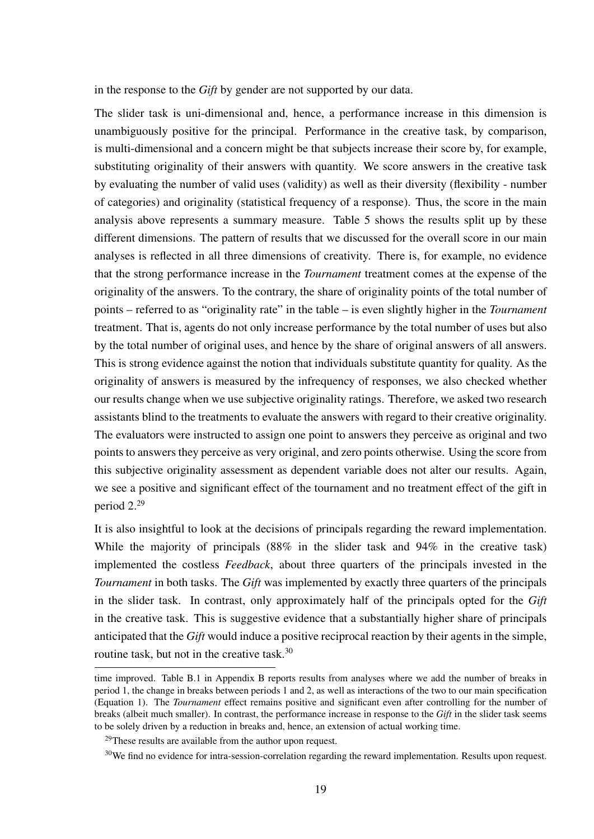in the response to the *Gift* by gender are not supported by our data.

The slider task is uni-dimensional and, hence, a performance increase in this dimension is unambiguously positive for the principal. Performance in the creative task, by comparison, is multi-dimensional and a concern might be that subjects increase their score by, for example, substituting originality of their answers with quantity. We score answers in the creative task by evaluating the number of valid uses (validity) as well as their diversity (flexibility - number of categories) and originality (statistical frequency of a response). Thus, the score in the main analysis above represents a summary measure. Table 5 shows the results split up by these different dimensions. The pattern of results that we discussed for the overall score in our main analyses is reflected in all three dimensions of creativity. There is, for example, no evidence that the strong performance increase in the *Tournament* treatment comes at the expense of the originality of the answers. To the contrary, the share of originality points of the total number of points – referred to as "originality rate" in the table – is even slightly higher in the *Tournament* treatment. That is, agents do not only increase performance by the total number of uses but also by the total number of original uses, and hence by the share of original answers of all answers. This is strong evidence against the notion that individuals substitute quantity for quality. As the originality of answers is measured by the infrequency of responses, we also checked whether our results change when we use subjective originality ratings. Therefore, we asked two research assistants blind to the treatments to evaluate the answers with regard to their creative originality. The evaluators were instructed to assign one point to answers they perceive as original and two points to answers they perceive as very original, and zero points otherwise. Using the score from this subjective originality assessment as dependent variable does not alter our results. Again, we see a positive and significant effect of the tournament and no treatment effect of the gift in period 2.<sup>29</sup>

It is also insightful to look at the decisions of principals regarding the reward implementation. While the majority of principals (88% in the slider task and 94% in the creative task) implemented the costless *Feedback*, about three quarters of the principals invested in the *Tournament* in both tasks. The *Gift* was implemented by exactly three quarters of the principals in the slider task. In contrast, only approximately half of the principals opted for the *Gift* in the creative task. This is suggestive evidence that a substantially higher share of principals anticipated that the *Gift* would induce a positive reciprocal reaction by their agents in the simple, routine task, but not in the creative task.<sup>30</sup>

time improved. Table B.1 in Appendix B reports results from analyses where we add the number of breaks in period 1, the change in breaks between periods 1 and 2, as well as interactions of the two to our main specification (Equation 1). The *Tournament* effect remains positive and significant even after controlling for the number of breaks (albeit much smaller). In contrast, the performance increase in response to the *Gift* in the slider task seems to be solely driven by a reduction in breaks and, hence, an extension of actual working time.

 $29$ These results are available from the author upon request.

<sup>&</sup>lt;sup>30</sup>We find no evidence for intra-session-correlation regarding the reward implementation. Results upon request.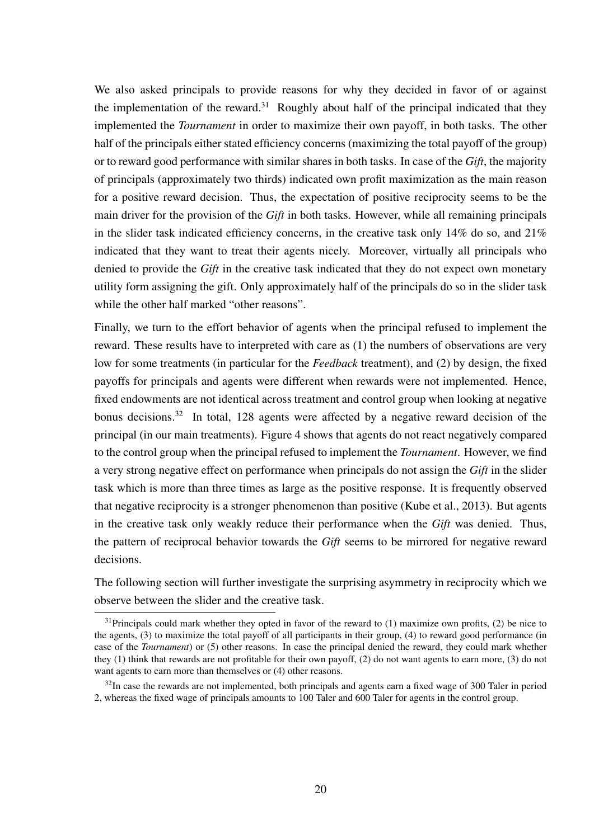We also asked principals to provide reasons for why they decided in favor of or against the implementation of the reward.<sup>31</sup> Roughly about half of the principal indicated that they implemented the *Tournament* in order to maximize their own payoff, in both tasks. The other half of the principals either stated efficiency concerns (maximizing the total payoff of the group) or to reward good performance with similar shares in both tasks. In case of the *Gift*, the majority of principals (approximately two thirds) indicated own profit maximization as the main reason for a positive reward decision. Thus, the expectation of positive reciprocity seems to be the main driver for the provision of the *Gift* in both tasks. However, while all remaining principals in the slider task indicated efficiency concerns, in the creative task only 14% do so, and 21% indicated that they want to treat their agents nicely. Moreover, virtually all principals who denied to provide the *Gift* in the creative task indicated that they do not expect own monetary utility form assigning the gift. Only approximately half of the principals do so in the slider task while the other half marked "other reasons".

Finally, we turn to the effort behavior of agents when the principal refused to implement the reward. These results have to interpreted with care as (1) the numbers of observations are very low for some treatments (in particular for the *Feedback* treatment), and (2) by design, the fixed payoffs for principals and agents were different when rewards were not implemented. Hence, fixed endowments are not identical across treatment and control group when looking at negative bonus decisions.<sup>32</sup> In total, 128 agents were affected by a negative reward decision of the principal (in our main treatments). Figure 4 shows that agents do not react negatively compared to the control group when the principal refused to implement the *Tournament*. However, we find a very strong negative effect on performance when principals do not assign the *Gift* in the slider task which is more than three times as large as the positive response. It is frequently observed that negative reciprocity is a stronger phenomenon than positive (Kube et al., 2013). But agents in the creative task only weakly reduce their performance when the *Gift* was denied. Thus, the pattern of reciprocal behavior towards the *Gift* seems to be mirrored for negative reward decisions.

The following section will further investigate the surprising asymmetry in reciprocity which we observe between the slider and the creative task.

 $31$ Principals could mark whether they opted in favor of the reward to (1) maximize own profits, (2) be nice to the agents, (3) to maximize the total payoff of all participants in their group, (4) to reward good performance (in case of the *Tournament*) or (5) other reasons. In case the principal denied the reward, they could mark whether they (1) think that rewards are not profitable for their own payoff, (2) do not want agents to earn more, (3) do not want agents to earn more than themselves or (4) other reasons.

 $32$ In case the rewards are not implemented, both principals and agents earn a fixed wage of 300 Taler in period 2, whereas the fixed wage of principals amounts to 100 Taler and 600 Taler for agents in the control group.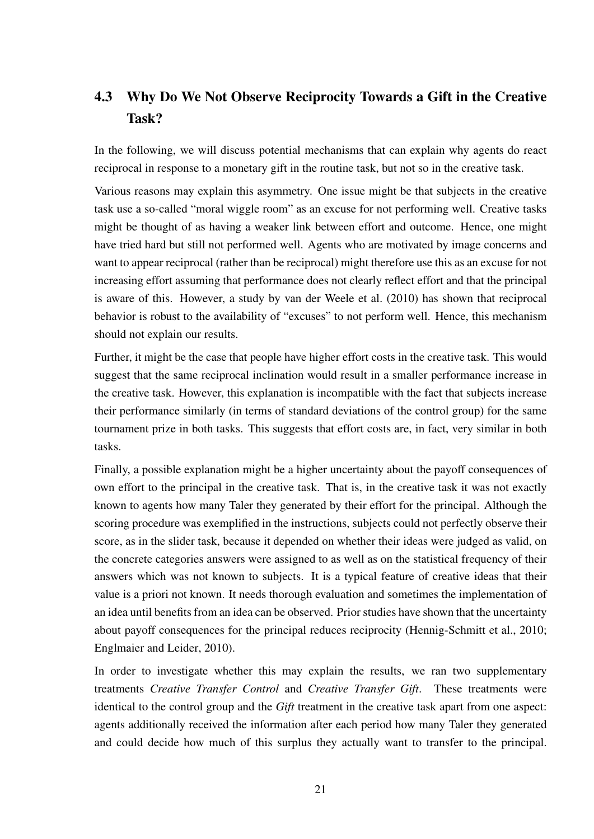## 4.3 Why Do We Not Observe Reciprocity Towards a Gift in the Creative Task?

In the following, we will discuss potential mechanisms that can explain why agents do react reciprocal in response to a monetary gift in the routine task, but not so in the creative task.

Various reasons may explain this asymmetry. One issue might be that subjects in the creative task use a so-called "moral wiggle room" as an excuse for not performing well. Creative tasks might be thought of as having a weaker link between effort and outcome. Hence, one might have tried hard but still not performed well. Agents who are motivated by image concerns and want to appear reciprocal (rather than be reciprocal) might therefore use this as an excuse for not increasing effort assuming that performance does not clearly reflect effort and that the principal is aware of this. However, a study by van der Weele et al. (2010) has shown that reciprocal behavior is robust to the availability of "excuses" to not perform well. Hence, this mechanism should not explain our results.

Further, it might be the case that people have higher effort costs in the creative task. This would suggest that the same reciprocal inclination would result in a smaller performance increase in the creative task. However, this explanation is incompatible with the fact that subjects increase their performance similarly (in terms of standard deviations of the control group) for the same tournament prize in both tasks. This suggests that effort costs are, in fact, very similar in both tasks.

Finally, a possible explanation might be a higher uncertainty about the payoff consequences of own effort to the principal in the creative task. That is, in the creative task it was not exactly known to agents how many Taler they generated by their effort for the principal. Although the scoring procedure was exemplified in the instructions, subjects could not perfectly observe their score, as in the slider task, because it depended on whether their ideas were judged as valid, on the concrete categories answers were assigned to as well as on the statistical frequency of their answers which was not known to subjects. It is a typical feature of creative ideas that their value is a priori not known. It needs thorough evaluation and sometimes the implementation of an idea until benefits from an idea can be observed. Prior studies have shown that the uncertainty about payoff consequences for the principal reduces reciprocity (Hennig-Schmitt et al., 2010; Englmaier and Leider, 2010).

In order to investigate whether this may explain the results, we ran two supplementary treatments *Creative Transfer Control* and *Creative Transfer Gift*. These treatments were identical to the control group and the *Gift* treatment in the creative task apart from one aspect: agents additionally received the information after each period how many Taler they generated and could decide how much of this surplus they actually want to transfer to the principal.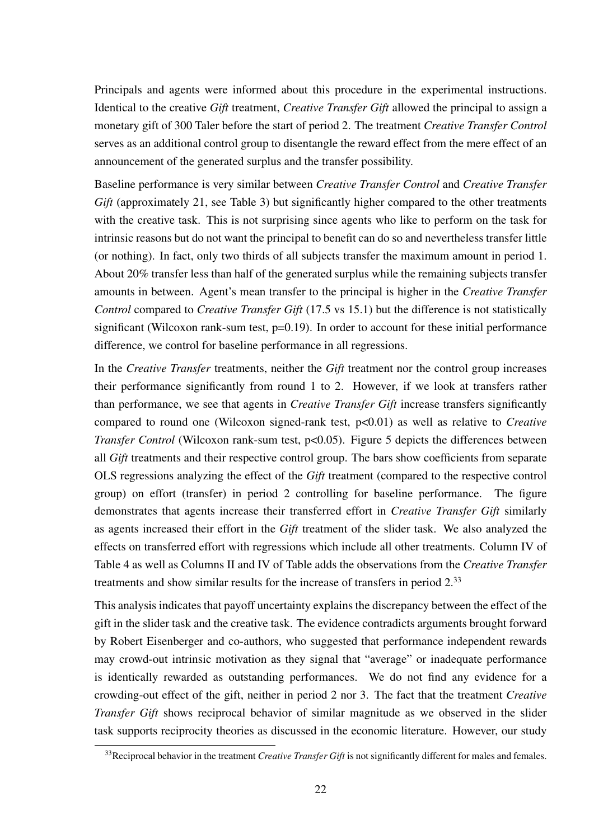Principals and agents were informed about this procedure in the experimental instructions. Identical to the creative *Gift* treatment, *Creative Transfer Gift* allowed the principal to assign a monetary gift of 300 Taler before the start of period 2. The treatment *Creative Transfer Control* serves as an additional control group to disentangle the reward effect from the mere effect of an announcement of the generated surplus and the transfer possibility.

Baseline performance is very similar between *Creative Transfer Control* and *Creative Transfer Gift* (approximately 21, see Table 3) but significantly higher compared to the other treatments with the creative task. This is not surprising since agents who like to perform on the task for intrinsic reasons but do not want the principal to benefit can do so and nevertheless transfer little (or nothing). In fact, only two thirds of all subjects transfer the maximum amount in period 1. About 20% transfer less than half of the generated surplus while the remaining subjects transfer amounts in between. Agent's mean transfer to the principal is higher in the *Creative Transfer Control* compared to *Creative Transfer Gift* (17.5 vs 15.1) but the difference is not statistically significant (Wilcoxon rank-sum test, p=0.19). In order to account for these initial performance difference, we control for baseline performance in all regressions.

In the *Creative Transfer* treatments, neither the *Gift* treatment nor the control group increases their performance significantly from round 1 to 2. However, if we look at transfers rather than performance, we see that agents in *Creative Transfer Gift* increase transfers significantly compared to round one (Wilcoxon signed-rank test, p<0.01) as well as relative to *Creative Transfer Control* (Wilcoxon rank-sum test, p<0.05). Figure 5 depicts the differences between all *Gift* treatments and their respective control group. The bars show coefficients from separate OLS regressions analyzing the effect of the *Gift* treatment (compared to the respective control group) on effort (transfer) in period 2 controlling for baseline performance. The figure demonstrates that agents increase their transferred effort in *Creative Transfer Gift* similarly as agents increased their effort in the *Gift* treatment of the slider task. We also analyzed the effects on transferred effort with regressions which include all other treatments. Column IV of Table 4 as well as Columns II and IV of Table adds the observations from the *Creative Transfer* treatments and show similar results for the increase of transfers in period 2.<sup>33</sup>

This analysis indicates that payoff uncertainty explains the discrepancy between the effect of the gift in the slider task and the creative task. The evidence contradicts arguments brought forward by Robert Eisenberger and co-authors, who suggested that performance independent rewards may crowd-out intrinsic motivation as they signal that "average" or inadequate performance is identically rewarded as outstanding performances. We do not find any evidence for a crowding-out effect of the gift, neither in period 2 nor 3. The fact that the treatment *Creative Transfer Gift* shows reciprocal behavior of similar magnitude as we observed in the slider task supports reciprocity theories as discussed in the economic literature. However, our study

<sup>33</sup>Reciprocal behavior in the treatment *Creative Transfer Gift* is not significantly different for males and females.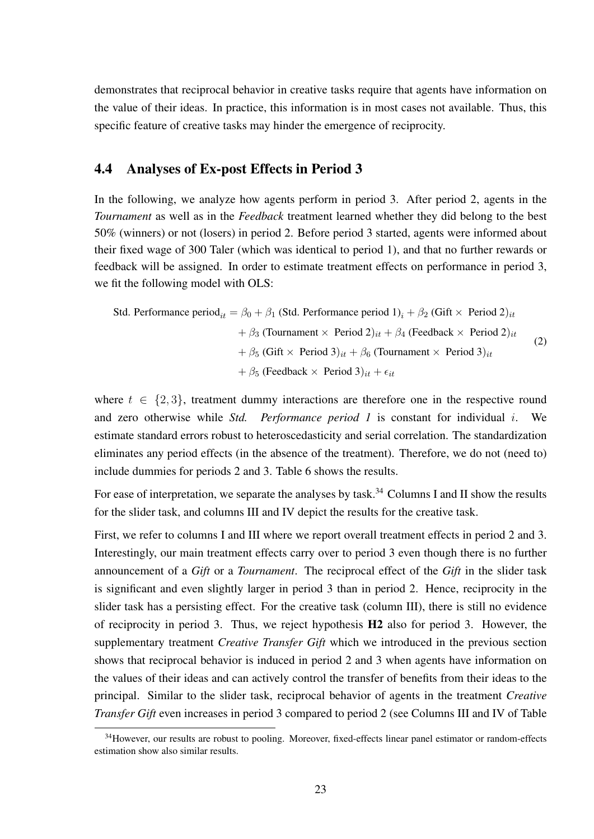demonstrates that reciprocal behavior in creative tasks require that agents have information on the value of their ideas. In practice, this information is in most cases not available. Thus, this specific feature of creative tasks may hinder the emergence of reciprocity.

### 4.4 Analyses of Ex-post Effects in Period 3

In the following, we analyze how agents perform in period 3. After period 2, agents in the *Tournament* as well as in the *Feedback* treatment learned whether they did belong to the best 50% (winners) or not (losers) in period 2. Before period 3 started, agents were informed about their fixed wage of 300 Taler (which was identical to period 1), and that no further rewards or feedback will be assigned. In order to estimate treatment effects on performance in period 3, we fit the following model with OLS:

Std. Performance period<sub>it</sub> = 
$$
\beta_0 + \beta_1
$$
 (Std. Performance period 1)<sub>i</sub> +  $\beta_2$  (Gift × Period 2)<sub>it</sub>  
\n $+ \beta_3$  (Tournament × Period 2)<sub>it</sub> +  $\beta_4$  (Feedback × Period 2)<sub>it</sub>  
\n $+ \beta_5$  (Gift × Period 3)<sub>it</sub> +  $\beta_6$  (Tournament × Period 3)<sub>it</sub>  
\n $+ \beta_5$  (Feedback × Period 3)<sub>it</sub> +  $\epsilon_{it}$ 

\n(2)

where  $t \in \{2,3\}$ , treatment dummy interactions are therefore one in the respective round and zero otherwise while *Std. Performance period 1* is constant for individual i. We estimate standard errors robust to heteroscedasticity and serial correlation. The standardization eliminates any period effects (in the absence of the treatment). Therefore, we do not (need to) include dummies for periods 2 and 3. Table 6 shows the results.

For ease of interpretation, we separate the analyses by task.<sup>34</sup> Columns I and II show the results for the slider task, and columns III and IV depict the results for the creative task.

First, we refer to columns I and III where we report overall treatment effects in period 2 and 3. Interestingly, our main treatment effects carry over to period 3 even though there is no further announcement of a *Gift* or a *Tournament*. The reciprocal effect of the *Gift* in the slider task is significant and even slightly larger in period 3 than in period 2. Hence, reciprocity in the slider task has a persisting effect. For the creative task (column III), there is still no evidence of reciprocity in period 3. Thus, we reject hypothesis H2 also for period 3. However, the supplementary treatment *Creative Transfer Gift* which we introduced in the previous section shows that reciprocal behavior is induced in period 2 and 3 when agents have information on the values of their ideas and can actively control the transfer of benefits from their ideas to the principal. Similar to the slider task, reciprocal behavior of agents in the treatment *Creative Transfer Gift* even increases in period 3 compared to period 2 (see Columns III and IV of Table

<sup>&</sup>lt;sup>34</sup>However, our results are robust to pooling. Moreover, fixed-effects linear panel estimator or random-effects estimation show also similar results.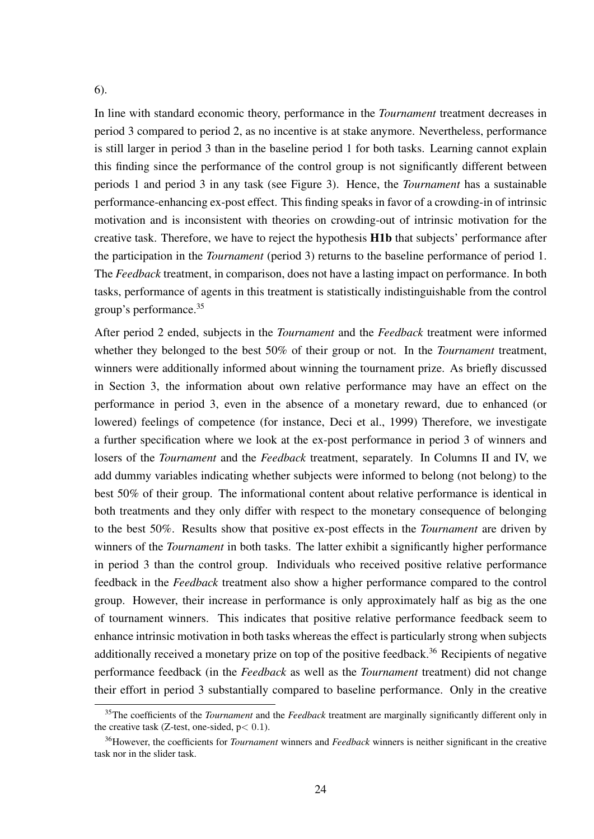#### 6).

In line with standard economic theory, performance in the *Tournament* treatment decreases in period 3 compared to period 2, as no incentive is at stake anymore. Nevertheless, performance is still larger in period 3 than in the baseline period 1 for both tasks. Learning cannot explain this finding since the performance of the control group is not significantly different between periods 1 and period 3 in any task (see Figure 3). Hence, the *Tournament* has a sustainable performance-enhancing ex-post effect. This finding speaks in favor of a crowding-in of intrinsic motivation and is inconsistent with theories on crowding-out of intrinsic motivation for the creative task. Therefore, we have to reject the hypothesis H1b that subjects' performance after the participation in the *Tournament* (period 3) returns to the baseline performance of period 1. The *Feedback* treatment, in comparison, does not have a lasting impact on performance. In both tasks, performance of agents in this treatment is statistically indistinguishable from the control group's performance.<sup>35</sup>

After period 2 ended, subjects in the *Tournament* and the *Feedback* treatment were informed whether they belonged to the best 50% of their group or not. In the *Tournament* treatment, winners were additionally informed about winning the tournament prize. As briefly discussed in Section 3, the information about own relative performance may have an effect on the performance in period 3, even in the absence of a monetary reward, due to enhanced (or lowered) feelings of competence (for instance, Deci et al., 1999) Therefore, we investigate a further specification where we look at the ex-post performance in period 3 of winners and losers of the *Tournament* and the *Feedback* treatment, separately. In Columns II and IV, we add dummy variables indicating whether subjects were informed to belong (not belong) to the best 50% of their group. The informational content about relative performance is identical in both treatments and they only differ with respect to the monetary consequence of belonging to the best 50%. Results show that positive ex-post effects in the *Tournament* are driven by winners of the *Tournament* in both tasks. The latter exhibit a significantly higher performance in period 3 than the control group. Individuals who received positive relative performance feedback in the *Feedback* treatment also show a higher performance compared to the control group. However, their increase in performance is only approximately half as big as the one of tournament winners. This indicates that positive relative performance feedback seem to enhance intrinsic motivation in both tasks whereas the effect is particularly strong when subjects additionally received a monetary prize on top of the positive feedback.<sup>36</sup> Recipients of negative performance feedback (in the *Feedback* as well as the *Tournament* treatment) did not change their effort in period 3 substantially compared to baseline performance. Only in the creative

<sup>35</sup>The coefficients of the *Tournament* and the *Feedback* treatment are marginally significantly different only in the creative task (Z-test, one-sided,  $p < 0.1$ ).

<sup>36</sup>However, the coefficients for *Tournament* winners and *Feedback* winners is neither significant in the creative task nor in the slider task.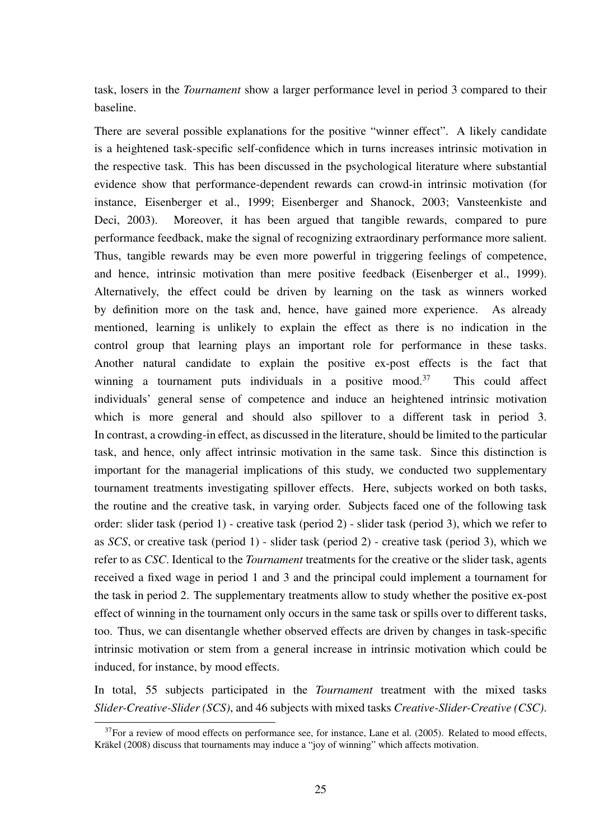task, losers in the *Tournament* show a larger performance level in period 3 compared to their baseline.

There are several possible explanations for the positive "winner effect". A likely candidate is a heightened task-specific self-confidence which in turns increases intrinsic motivation in the respective task. This has been discussed in the psychological literature where substantial evidence show that performance-dependent rewards can crowd-in intrinsic motivation (for instance, Eisenberger et al., 1999; Eisenberger and Shanock, 2003; Vansteenkiste and Deci, 2003). Moreover, it has been argued that tangible rewards, compared to pure performance feedback, make the signal of recognizing extraordinary performance more salient. Thus, tangible rewards may be even more powerful in triggering feelings of competence, and hence, intrinsic motivation than mere positive feedback (Eisenberger et al., 1999). Alternatively, the effect could be driven by learning on the task as winners worked by definition more on the task and, hence, have gained more experience. As already mentioned, learning is unlikely to explain the effect as there is no indication in the control group that learning plays an important role for performance in these tasks. Another natural candidate to explain the positive ex-post effects is the fact that winning a tournament puts individuals in a positive mood.<sup>37</sup> This could affect individuals' general sense of competence and induce an heightened intrinsic motivation which is more general and should also spillover to a different task in period 3. In contrast, a crowding-in effect, as discussed in the literature, should be limited to the particular task, and hence, only affect intrinsic motivation in the same task. Since this distinction is important for the managerial implications of this study, we conducted two supplementary tournament treatments investigating spillover effects. Here, subjects worked on both tasks, the routine and the creative task, in varying order. Subjects faced one of the following task order: slider task (period 1) - creative task (period 2) - slider task (period 3), which we refer to as *SCS*, or creative task (period 1) - slider task (period 2) - creative task (period 3), which we refer to as *CSC*. Identical to the *Tournament* treatments for the creative or the slider task, agents received a fixed wage in period 1 and 3 and the principal could implement a tournament for the task in period 2. The supplementary treatments allow to study whether the positive ex-post effect of winning in the tournament only occurs in the same task or spills over to different tasks, too. Thus, we can disentangle whether observed effects are driven by changes in task-specific intrinsic motivation or stem from a general increase in intrinsic motivation which could be induced, for instance, by mood effects.

In total, 55 subjects participated in the *Tournament* treatment with the mixed tasks *Slider-Creative-Slider (SCS)*, and 46 subjects with mixed tasks *Creative-Slider-Creative (CSC)*.

 $37$ For a review of mood effects on performance see, for instance, Lane et al. (2005). Related to mood effects, Kräkel (2008) discuss that tournaments may induce a "joy of winning" which affects motivation.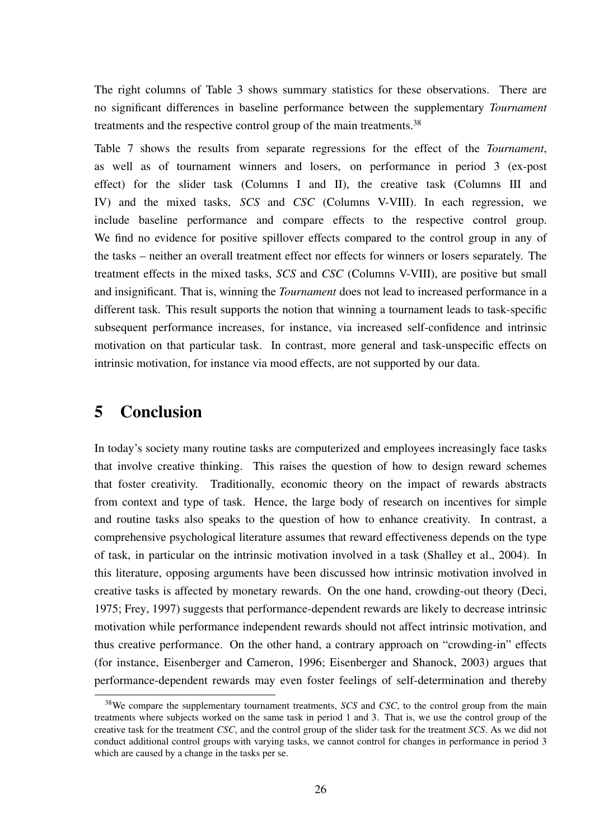The right columns of Table 3 shows summary statistics for these observations. There are no significant differences in baseline performance between the supplementary *Tournament* treatments and the respective control group of the main treatments.<sup>38</sup>

Table 7 shows the results from separate regressions for the effect of the *Tournament*, as well as of tournament winners and losers, on performance in period 3 (ex-post effect) for the slider task (Columns I and II), the creative task (Columns III and IV) and the mixed tasks, *SCS* and *CSC* (Columns V-VIII). In each regression, we include baseline performance and compare effects to the respective control group. We find no evidence for positive spillover effects compared to the control group in any of the tasks – neither an overall treatment effect nor effects for winners or losers separately. The treatment effects in the mixed tasks, *SCS* and *CSC* (Columns V-VIII), are positive but small and insignificant. That is, winning the *Tournament* does not lead to increased performance in a different task. This result supports the notion that winning a tournament leads to task-specific subsequent performance increases, for instance, via increased self-confidence and intrinsic motivation on that particular task. In contrast, more general and task-unspecific effects on intrinsic motivation, for instance via mood effects, are not supported by our data.

### 5 Conclusion

In today's society many routine tasks are computerized and employees increasingly face tasks that involve creative thinking. This raises the question of how to design reward schemes that foster creativity. Traditionally, economic theory on the impact of rewards abstracts from context and type of task. Hence, the large body of research on incentives for simple and routine tasks also speaks to the question of how to enhance creativity. In contrast, a comprehensive psychological literature assumes that reward effectiveness depends on the type of task, in particular on the intrinsic motivation involved in a task (Shalley et al., 2004). In this literature, opposing arguments have been discussed how intrinsic motivation involved in creative tasks is affected by monetary rewards. On the one hand, crowding-out theory (Deci, 1975; Frey, 1997) suggests that performance-dependent rewards are likely to decrease intrinsic motivation while performance independent rewards should not affect intrinsic motivation, and thus creative performance. On the other hand, a contrary approach on "crowding-in" effects (for instance, Eisenberger and Cameron, 1996; Eisenberger and Shanock, 2003) argues that performance-dependent rewards may even foster feelings of self-determination and thereby

<sup>38</sup>We compare the supplementary tournament treatments, *SCS* and *CSC*, to the control group from the main treatments where subjects worked on the same task in period 1 and 3. That is, we use the control group of the creative task for the treatment *CSC*, and the control group of the slider task for the treatment *SCS*. As we did not conduct additional control groups with varying tasks, we cannot control for changes in performance in period 3 which are caused by a change in the tasks per se.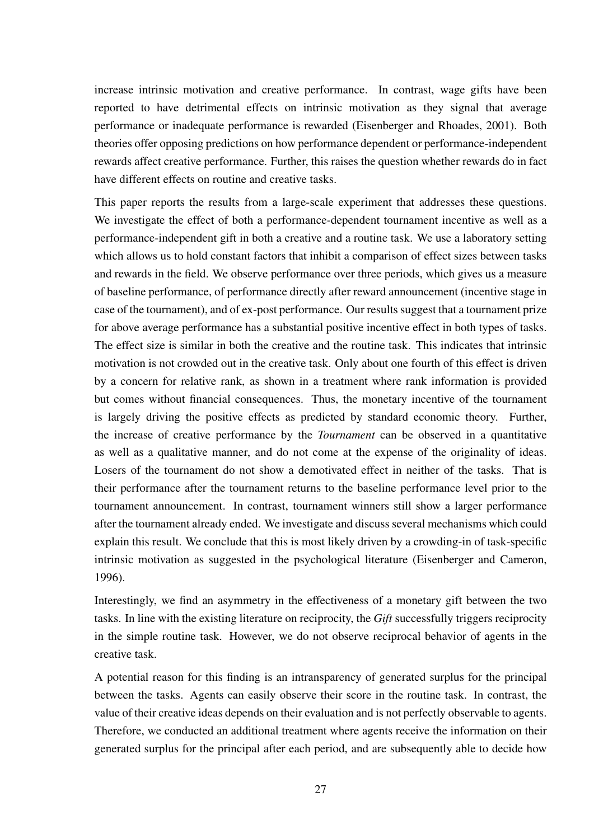increase intrinsic motivation and creative performance. In contrast, wage gifts have been reported to have detrimental effects on intrinsic motivation as they signal that average performance or inadequate performance is rewarded (Eisenberger and Rhoades, 2001). Both theories offer opposing predictions on how performance dependent or performance-independent rewards affect creative performance. Further, this raises the question whether rewards do in fact have different effects on routine and creative tasks.

This paper reports the results from a large-scale experiment that addresses these questions. We investigate the effect of both a performance-dependent tournament incentive as well as a performance-independent gift in both a creative and a routine task. We use a laboratory setting which allows us to hold constant factors that inhibit a comparison of effect sizes between tasks and rewards in the field. We observe performance over three periods, which gives us a measure of baseline performance, of performance directly after reward announcement (incentive stage in case of the tournament), and of ex-post performance. Our results suggest that a tournament prize for above average performance has a substantial positive incentive effect in both types of tasks. The effect size is similar in both the creative and the routine task. This indicates that intrinsic motivation is not crowded out in the creative task. Only about one fourth of this effect is driven by a concern for relative rank, as shown in a treatment where rank information is provided but comes without financial consequences. Thus, the monetary incentive of the tournament is largely driving the positive effects as predicted by standard economic theory. Further, the increase of creative performance by the *Tournament* can be observed in a quantitative as well as a qualitative manner, and do not come at the expense of the originality of ideas. Losers of the tournament do not show a demotivated effect in neither of the tasks. That is their performance after the tournament returns to the baseline performance level prior to the tournament announcement. In contrast, tournament winners still show a larger performance after the tournament already ended. We investigate and discuss several mechanisms which could explain this result. We conclude that this is most likely driven by a crowding-in of task-specific intrinsic motivation as suggested in the psychological literature (Eisenberger and Cameron, 1996).

Interestingly, we find an asymmetry in the effectiveness of a monetary gift between the two tasks. In line with the existing literature on reciprocity, the *Gift* successfully triggers reciprocity in the simple routine task. However, we do not observe reciprocal behavior of agents in the creative task.

A potential reason for this finding is an intransparency of generated surplus for the principal between the tasks. Agents can easily observe their score in the routine task. In contrast, the value of their creative ideas depends on their evaluation and is not perfectly observable to agents. Therefore, we conducted an additional treatment where agents receive the information on their generated surplus for the principal after each period, and are subsequently able to decide how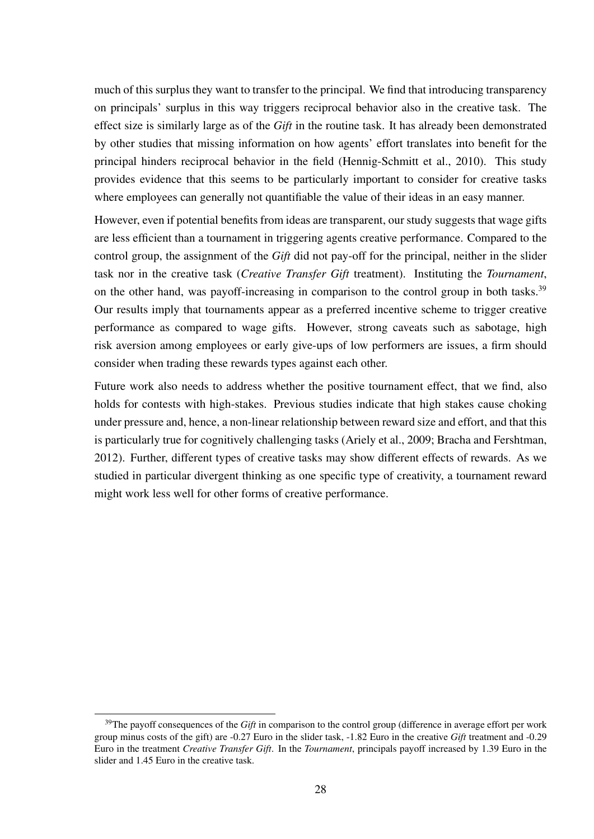much of this surplus they want to transfer to the principal. We find that introducing transparency on principals' surplus in this way triggers reciprocal behavior also in the creative task. The effect size is similarly large as of the *Gift* in the routine task. It has already been demonstrated by other studies that missing information on how agents' effort translates into benefit for the principal hinders reciprocal behavior in the field (Hennig-Schmitt et al., 2010). This study provides evidence that this seems to be particularly important to consider for creative tasks where employees can generally not quantifiable the value of their ideas in an easy manner.

However, even if potential benefits from ideas are transparent, our study suggests that wage gifts are less efficient than a tournament in triggering agents creative performance. Compared to the control group, the assignment of the *Gift* did not pay-off for the principal, neither in the slider task nor in the creative task (*Creative Transfer Gift* treatment). Instituting the *Tournament*, on the other hand, was payoff-increasing in comparison to the control group in both tasks.<sup>39</sup> Our results imply that tournaments appear as a preferred incentive scheme to trigger creative performance as compared to wage gifts. However, strong caveats such as sabotage, high risk aversion among employees or early give-ups of low performers are issues, a firm should consider when trading these rewards types against each other.

Future work also needs to address whether the positive tournament effect, that we find, also holds for contests with high-stakes. Previous studies indicate that high stakes cause choking under pressure and, hence, a non-linear relationship between reward size and effort, and that this is particularly true for cognitively challenging tasks (Ariely et al., 2009; Bracha and Fershtman, 2012). Further, different types of creative tasks may show different effects of rewards. As we studied in particular divergent thinking as one specific type of creativity, a tournament reward might work less well for other forms of creative performance.

<sup>&</sup>lt;sup>39</sup>The payoff consequences of the *Gift* in comparison to the control group (difference in average effort per work group minus costs of the gift) are -0.27 Euro in the slider task, -1.82 Euro in the creative *Gift* treatment and -0.29 Euro in the treatment *Creative Transfer Gift*. In the *Tournament*, principals payoff increased by 1.39 Euro in the slider and 1.45 Euro in the creative task.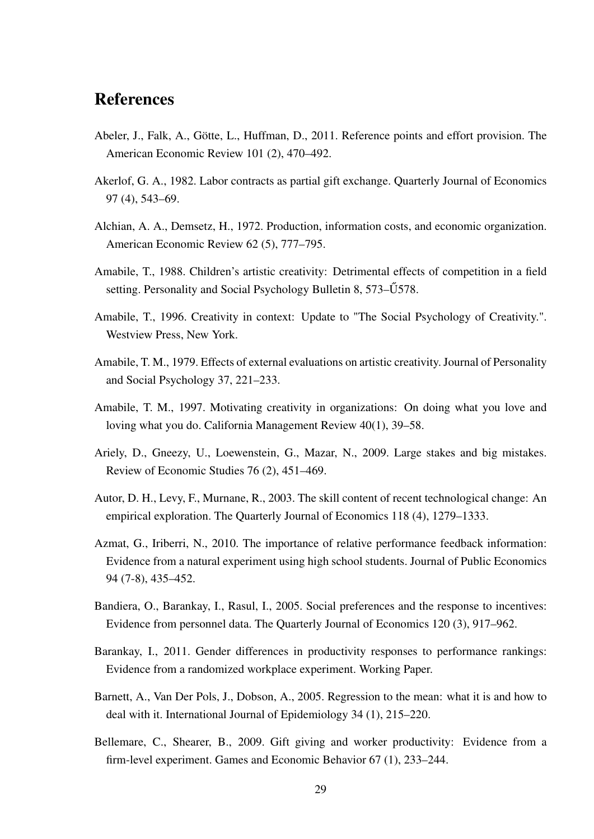### References

- Abeler, J., Falk, A., Götte, L., Huffman, D., 2011. Reference points and effort provision. The American Economic Review 101 (2), 470–492.
- Akerlof, G. A., 1982. Labor contracts as partial gift exchange. Quarterly Journal of Economics 97 (4), 543–69.
- Alchian, A. A., Demsetz, H., 1972. Production, information costs, and economic organization. American Economic Review 62 (5), 777–795.
- Amabile, T., 1988. Children's artistic creativity: Detrimental effects of competition in a field setting. Personality and Social Psychology Bulletin 8, 573–Ű578.
- Amabile, T., 1996. Creativity in context: Update to "The Social Psychology of Creativity.". Westview Press, New York.
- Amabile, T. M., 1979. Effects of external evaluations on artistic creativity. Journal of Personality and Social Psychology 37, 221–233.
- Amabile, T. M., 1997. Motivating creativity in organizations: On doing what you love and loving what you do. California Management Review 40(1), 39–58.
- Ariely, D., Gneezy, U., Loewenstein, G., Mazar, N., 2009. Large stakes and big mistakes. Review of Economic Studies 76 (2), 451–469.
- Autor, D. H., Levy, F., Murnane, R., 2003. The skill content of recent technological change: An empirical exploration. The Quarterly Journal of Economics 118 (4), 1279–1333.
- Azmat, G., Iriberri, N., 2010. The importance of relative performance feedback information: Evidence from a natural experiment using high school students. Journal of Public Economics 94 (7-8), 435–452.
- Bandiera, O., Barankay, I., Rasul, I., 2005. Social preferences and the response to incentives: Evidence from personnel data. The Quarterly Journal of Economics 120 (3), 917–962.
- Barankay, I., 2011. Gender differences in productivity responses to performance rankings: Evidence from a randomized workplace experiment. Working Paper.
- Barnett, A., Van Der Pols, J., Dobson, A., 2005. Regression to the mean: what it is and how to deal with it. International Journal of Epidemiology 34 (1), 215–220.
- Bellemare, C., Shearer, B., 2009. Gift giving and worker productivity: Evidence from a firm-level experiment. Games and Economic Behavior 67 (1), 233–244.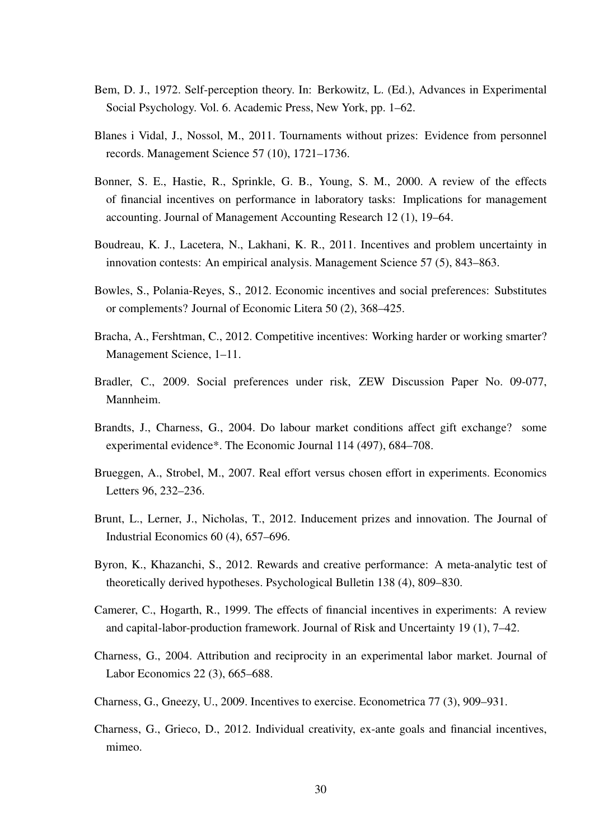- Bem, D. J., 1972. Self-perception theory. In: Berkowitz, L. (Ed.), Advances in Experimental Social Psychology. Vol. 6. Academic Press, New York, pp. 1–62.
- Blanes i Vidal, J., Nossol, M., 2011. Tournaments without prizes: Evidence from personnel records. Management Science 57 (10), 1721–1736.
- Bonner, S. E., Hastie, R., Sprinkle, G. B., Young, S. M., 2000. A review of the effects of financial incentives on performance in laboratory tasks: Implications for management accounting. Journal of Management Accounting Research 12 (1), 19–64.
- Boudreau, K. J., Lacetera, N., Lakhani, K. R., 2011. Incentives and problem uncertainty in innovation contests: An empirical analysis. Management Science 57 (5), 843–863.
- Bowles, S., Polania-Reyes, S., 2012. Economic incentives and social preferences: Substitutes or complements? Journal of Economic Litera 50 (2), 368–425.
- Bracha, A., Fershtman, C., 2012. Competitive incentives: Working harder or working smarter? Management Science, 1–11.
- Bradler, C., 2009. Social preferences under risk, ZEW Discussion Paper No. 09-077, Mannheim.
- Brandts, J., Charness, G., 2004. Do labour market conditions affect gift exchange? some experimental evidence\*. The Economic Journal 114 (497), 684–708.
- Brueggen, A., Strobel, M., 2007. Real effort versus chosen effort in experiments. Economics Letters 96, 232–236.
- Brunt, L., Lerner, J., Nicholas, T., 2012. Inducement prizes and innovation. The Journal of Industrial Economics 60 (4), 657–696.
- Byron, K., Khazanchi, S., 2012. Rewards and creative performance: A meta-analytic test of theoretically derived hypotheses. Psychological Bulletin 138 (4), 809–830.
- Camerer, C., Hogarth, R., 1999. The effects of financial incentives in experiments: A review and capital-labor-production framework. Journal of Risk and Uncertainty 19 (1), 7–42.
- Charness, G., 2004. Attribution and reciprocity in an experimental labor market. Journal of Labor Economics 22 (3), 665–688.
- Charness, G., Gneezy, U., 2009. Incentives to exercise. Econometrica 77 (3), 909–931.
- Charness, G., Grieco, D., 2012. Individual creativity, ex-ante goals and financial incentives, mimeo.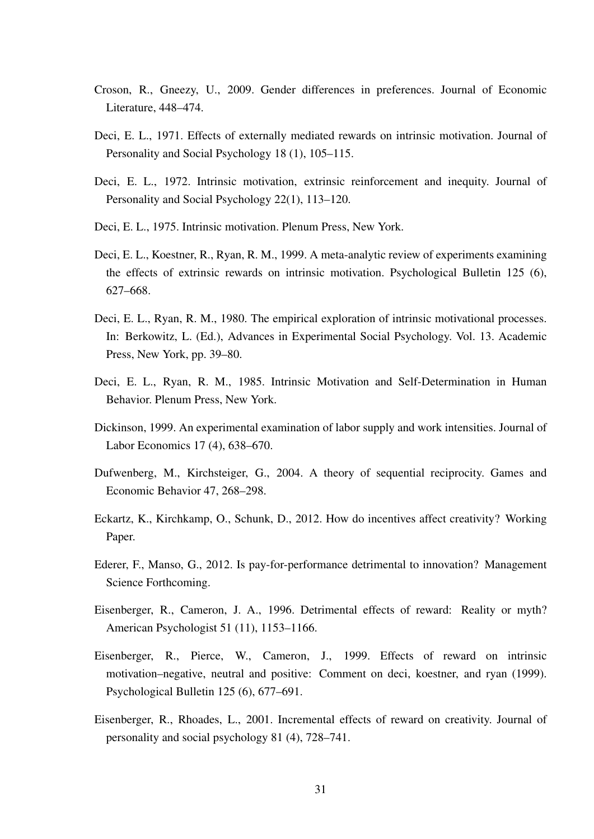- Croson, R., Gneezy, U., 2009. Gender differences in preferences. Journal of Economic Literature, 448–474.
- Deci, E. L., 1971. Effects of externally mediated rewards on intrinsic motivation. Journal of Personality and Social Psychology 18 (1), 105–115.
- Deci, E. L., 1972. Intrinsic motivation, extrinsic reinforcement and inequity. Journal of Personality and Social Psychology 22(1), 113–120.
- Deci, E. L., 1975. Intrinsic motivation. Plenum Press, New York.
- Deci, E. L., Koestner, R., Ryan, R. M., 1999. A meta-analytic review of experiments examining the effects of extrinsic rewards on intrinsic motivation. Psychological Bulletin 125 (6), 627–668.
- Deci, E. L., Ryan, R. M., 1980. The empirical exploration of intrinsic motivational processes. In: Berkowitz, L. (Ed.), Advances in Experimental Social Psychology. Vol. 13. Academic Press, New York, pp. 39–80.
- Deci, E. L., Ryan, R. M., 1985. Intrinsic Motivation and Self-Determination in Human Behavior. Plenum Press, New York.
- Dickinson, 1999. An experimental examination of labor supply and work intensities. Journal of Labor Economics 17 (4), 638–670.
- Dufwenberg, M., Kirchsteiger, G., 2004. A theory of sequential reciprocity. Games and Economic Behavior 47, 268–298.
- Eckartz, K., Kirchkamp, O., Schunk, D., 2012. How do incentives affect creativity? Working Paper.
- Ederer, F., Manso, G., 2012. Is pay-for-performance detrimental to innovation? Management Science Forthcoming.
- Eisenberger, R., Cameron, J. A., 1996. Detrimental effects of reward: Reality or myth? American Psychologist 51 (11), 1153–1166.
- Eisenberger, R., Pierce, W., Cameron, J., 1999. Effects of reward on intrinsic motivation–negative, neutral and positive: Comment on deci, koestner, and ryan (1999). Psychological Bulletin 125 (6), 677–691.
- Eisenberger, R., Rhoades, L., 2001. Incremental effects of reward on creativity. Journal of personality and social psychology 81 (4), 728–741.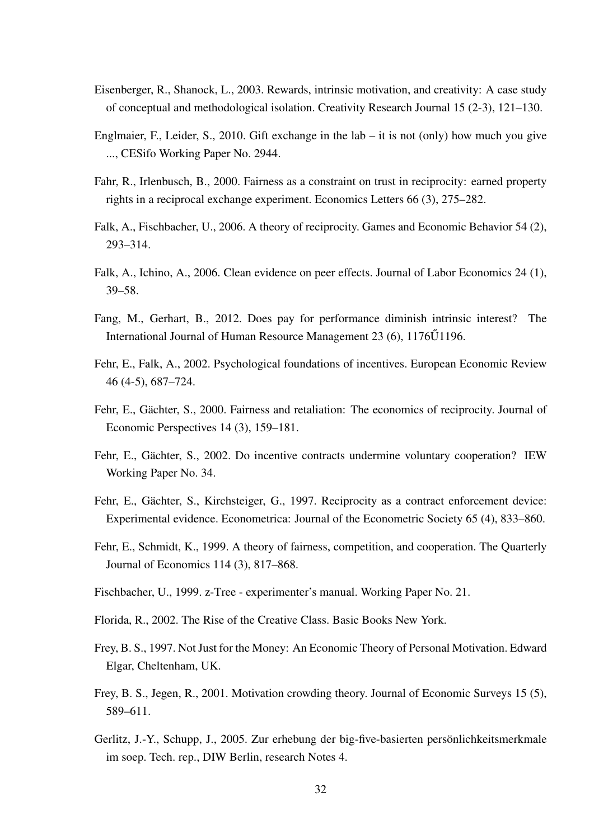- Eisenberger, R., Shanock, L., 2003. Rewards, intrinsic motivation, and creativity: A case study of conceptual and methodological isolation. Creativity Research Journal 15 (2-3), 121–130.
- Englmaier, F., Leider, S., 2010. Gift exchange in the lab it is not (only) how much you give ..., CESifo Working Paper No. 2944.
- Fahr, R., Irlenbusch, B., 2000. Fairness as a constraint on trust in reciprocity: earned property rights in a reciprocal exchange experiment. Economics Letters 66 (3), 275–282.
- Falk, A., Fischbacher, U., 2006. A theory of reciprocity. Games and Economic Behavior 54 (2), 293–314.
- Falk, A., Ichino, A., 2006. Clean evidence on peer effects. Journal of Labor Economics 24 (1), 39–58.
- Fang, M., Gerhart, B., 2012. Does pay for performance diminish intrinsic interest? The International Journal of Human Resource Management  $23(6)$ ,  $1176\tilde{U}1196$ .
- Fehr, E., Falk, A., 2002. Psychological foundations of incentives. European Economic Review 46 (4-5), 687–724.
- Fehr, E., Gächter, S., 2000. Fairness and retaliation: The economics of reciprocity. Journal of Economic Perspectives 14 (3), 159–181.
- Fehr, E., Gächter, S., 2002. Do incentive contracts undermine voluntary cooperation? IEW Working Paper No. 34.
- Fehr, E., Gächter, S., Kirchsteiger, G., 1997. Reciprocity as a contract enforcement device: Experimental evidence. Econometrica: Journal of the Econometric Society 65 (4), 833–860.
- Fehr, E., Schmidt, K., 1999. A theory of fairness, competition, and cooperation. The Quarterly Journal of Economics 114 (3), 817–868.
- Fischbacher, U., 1999. z-Tree experimenter's manual. Working Paper No. 21.
- Florida, R., 2002. The Rise of the Creative Class. Basic Books New York.
- Frey, B. S., 1997. Not Just for the Money: An Economic Theory of Personal Motivation. Edward Elgar, Cheltenham, UK.
- Frey, B. S., Jegen, R., 2001. Motivation crowding theory. Journal of Economic Surveys 15 (5), 589–611.
- Gerlitz, J.-Y., Schupp, J., 2005. Zur erhebung der big-five-basierten persönlichkeitsmerkmale im soep. Tech. rep., DIW Berlin, research Notes 4.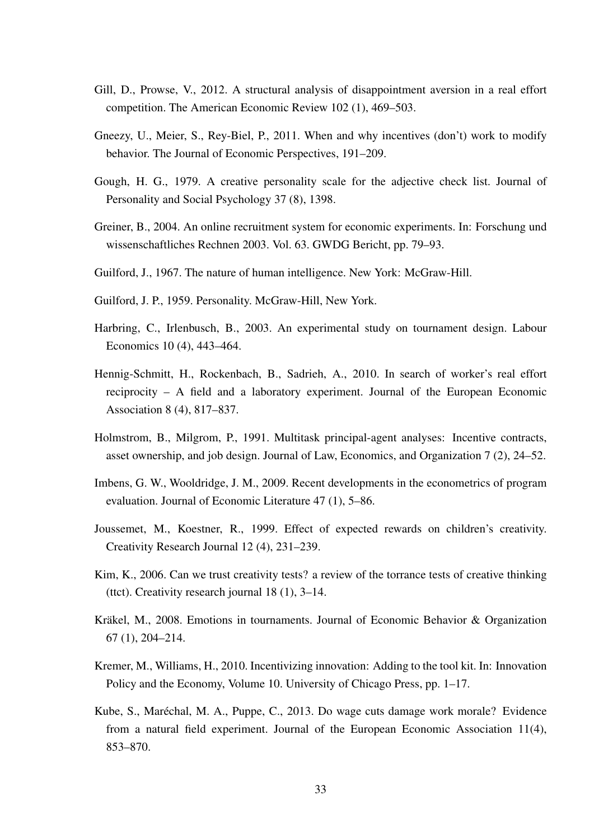- Gill, D., Prowse, V., 2012. A structural analysis of disappointment aversion in a real effort competition. The American Economic Review 102 (1), 469–503.
- Gneezy, U., Meier, S., Rey-Biel, P., 2011. When and why incentives (don't) work to modify behavior. The Journal of Economic Perspectives, 191–209.
- Gough, H. G., 1979. A creative personality scale for the adjective check list. Journal of Personality and Social Psychology 37 (8), 1398.
- Greiner, B., 2004. An online recruitment system for economic experiments. In: Forschung und wissenschaftliches Rechnen 2003. Vol. 63. GWDG Bericht, pp. 79–93.
- Guilford, J., 1967. The nature of human intelligence. New York: McGraw-Hill.
- Guilford, J. P., 1959. Personality. McGraw-Hill, New York.
- Harbring, C., Irlenbusch, B., 2003. An experimental study on tournament design. Labour Economics 10 (4), 443–464.
- Hennig-Schmitt, H., Rockenbach, B., Sadrieh, A., 2010. In search of worker's real effort reciprocity – A field and a laboratory experiment. Journal of the European Economic Association 8 (4), 817–837.
- Holmstrom, B., Milgrom, P., 1991. Multitask principal-agent analyses: Incentive contracts, asset ownership, and job design. Journal of Law, Economics, and Organization 7 (2), 24–52.
- Imbens, G. W., Wooldridge, J. M., 2009. Recent developments in the econometrics of program evaluation. Journal of Economic Literature 47 (1), 5–86.
- Joussemet, M., Koestner, R., 1999. Effect of expected rewards on children's creativity. Creativity Research Journal 12 (4), 231–239.
- Kim, K., 2006. Can we trust creativity tests? a review of the torrance tests of creative thinking (ttct). Creativity research journal 18 (1), 3–14.
- Kräkel, M., 2008. Emotions in tournaments. Journal of Economic Behavior & Organization 67 (1), 204–214.
- Kremer, M., Williams, H., 2010. Incentivizing innovation: Adding to the tool kit. In: Innovation Policy and the Economy, Volume 10. University of Chicago Press, pp. 1–17.
- Kube, S., Maréchal, M. A., Puppe, C., 2013. Do wage cuts damage work morale? Evidence from a natural field experiment. Journal of the European Economic Association 11(4), 853–870.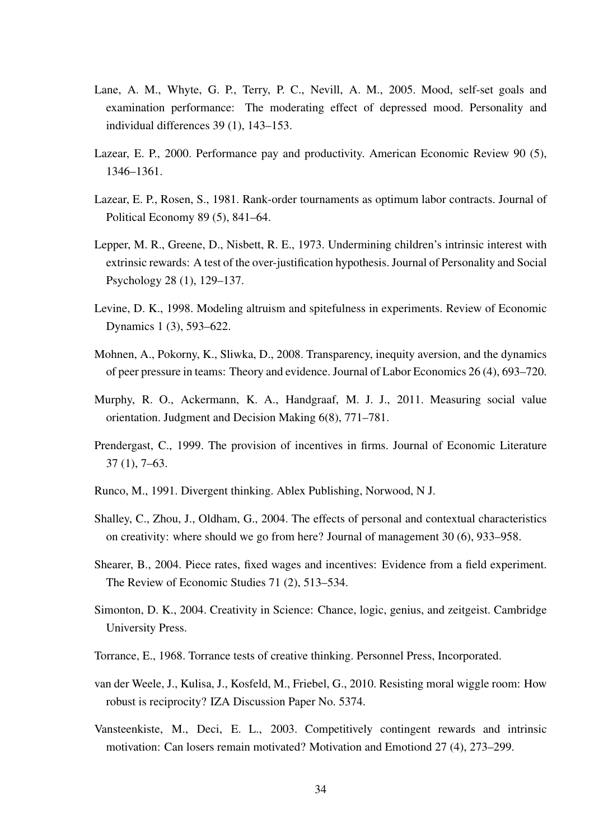- Lane, A. M., Whyte, G. P., Terry, P. C., Nevill, A. M., 2005. Mood, self-set goals and examination performance: The moderating effect of depressed mood. Personality and individual differences 39 (1), 143–153.
- Lazear, E. P., 2000. Performance pay and productivity. American Economic Review 90 (5), 1346–1361.
- Lazear, E. P., Rosen, S., 1981. Rank-order tournaments as optimum labor contracts. Journal of Political Economy 89 (5), 841–64.
- Lepper, M. R., Greene, D., Nisbett, R. E., 1973. Undermining children's intrinsic interest with extrinsic rewards: A test of the over-justification hypothesis. Journal of Personality and Social Psychology 28 (1), 129–137.
- Levine, D. K., 1998. Modeling altruism and spitefulness in experiments. Review of Economic Dynamics 1 (3), 593–622.
- Mohnen, A., Pokorny, K., Sliwka, D., 2008. Transparency, inequity aversion, and the dynamics of peer pressure in teams: Theory and evidence. Journal of Labor Economics 26 (4), 693–720.
- Murphy, R. O., Ackermann, K. A., Handgraaf, M. J. J., 2011. Measuring social value orientation. Judgment and Decision Making 6(8), 771–781.
- Prendergast, C., 1999. The provision of incentives in firms. Journal of Economic Literature 37 (1), 7–63.
- Runco, M., 1991. Divergent thinking. Ablex Publishing, Norwood, N J.
- Shalley, C., Zhou, J., Oldham, G., 2004. The effects of personal and contextual characteristics on creativity: where should we go from here? Journal of management 30 (6), 933–958.
- Shearer, B., 2004. Piece rates, fixed wages and incentives: Evidence from a field experiment. The Review of Economic Studies 71 (2), 513–534.
- Simonton, D. K., 2004. Creativity in Science: Chance, logic, genius, and zeitgeist. Cambridge University Press.
- Torrance, E., 1968. Torrance tests of creative thinking. Personnel Press, Incorporated.
- van der Weele, J., Kulisa, J., Kosfeld, M., Friebel, G., 2010. Resisting moral wiggle room: How robust is reciprocity? IZA Discussion Paper No. 5374.
- Vansteenkiste, M., Deci, E. L., 2003. Competitively contingent rewards and intrinsic motivation: Can losers remain motivated? Motivation and Emotiond 27 (4), 273–299.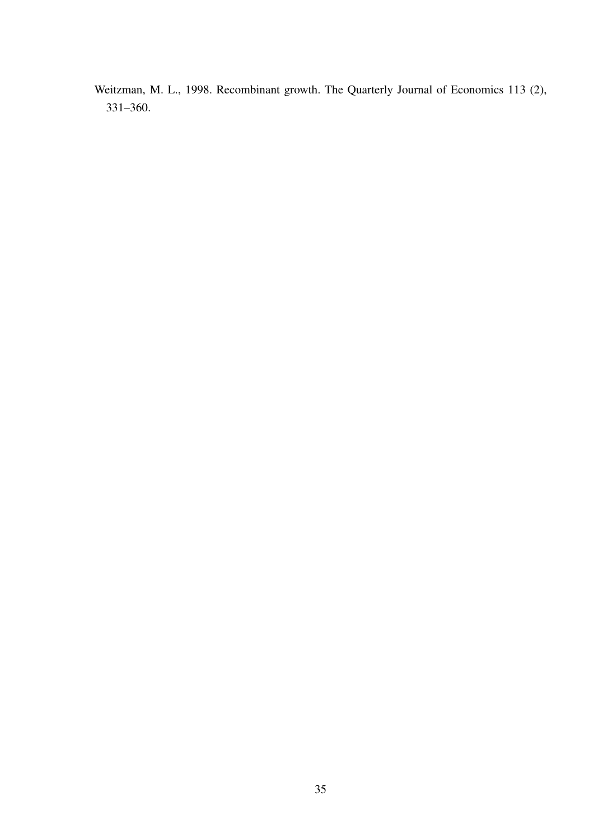Weitzman, M. L., 1998. Recombinant growth. The Quarterly Journal of Economics 113 (2), 331–360.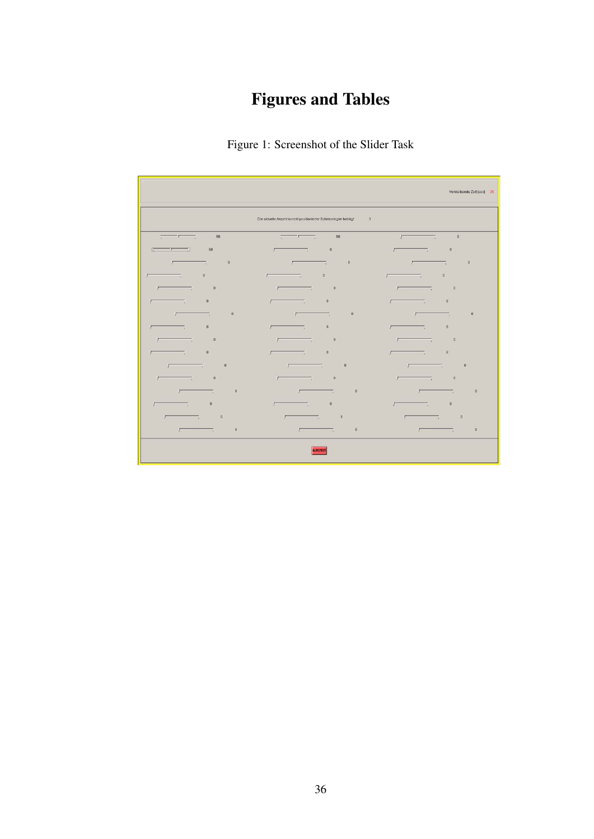# Figures and Tables



|                                                   |                                                                                                                                                                                                                                                                                                                                                                                            | Verbleibende Zeit [sec]: 35                                                                                                                                                                                                                             |
|---------------------------------------------------|--------------------------------------------------------------------------------------------------------------------------------------------------------------------------------------------------------------------------------------------------------------------------------------------------------------------------------------------------------------------------------------------|---------------------------------------------------------------------------------------------------------------------------------------------------------------------------------------------------------------------------------------------------------|
|                                                   | Die aktuelle Anzahl korrekt positionierter Schieberegler beträgt.<br>$\overline{3}$                                                                                                                                                                                                                                                                                                        |                                                                                                                                                                                                                                                         |
| 50<br>$\frac{1}{2}$                               | 50<br>$\overline{a}$ $\overline{a}$ $\overline{a}$ $\overline{a}$ $\overline{a}$ $\overline{a}$ $\overline{a}$ $\overline{a}$ $\overline{a}$ $\overline{a}$ $\overline{a}$ $\overline{a}$ $\overline{a}$ $\overline{a}$ $\overline{a}$ $\overline{a}$ $\overline{a}$ $\overline{a}$ $\overline{a}$ $\overline{a}$ $\overline{a}$ $\overline{a}$ $\overline{a}$ $\overline{a}$ $\overline{$ | $\,0\,$<br><b>Contract Contract</b><br>F -                                                                                                                                                                                                              |
| 50<br>$\sqrt{1-\frac{1}{2}}$                      | $\boldsymbol{0}$<br>$\overline{\phantom{a}}$<br>г                                                                                                                                                                                                                                                                                                                                          | $\,0\,$<br>г<br><b>Table 19</b>                                                                                                                                                                                                                         |
| $0^\circ$<br>┍<br>- 78                            | $\mathbf 0$<br>$\sqrt{2}$<br>т.                                                                                                                                                                                                                                                                                                                                                            | $\boldsymbol{0}$<br>$\sqrt{2}$<br>- 7                                                                                                                                                                                                                   |
| $\boldsymbol{0}$<br>Ε<br>- 5                      | $\,0\,$<br>$\overline{\phantom{a}}$<br>$\overline{a}$                                                                                                                                                                                                                                                                                                                                      | $\bf 0$<br>$\sqrt{2}$<br>mark of the second series and content of the second series in the second series in the second series in the second series in the second series in the second series in the second series in the second series in the second se |
| $\,0\,$<br>$\sim$ $\sim$ $\sim$<br>F              | $_{\rm 0}$<br>$\sqrt{2}$                                                                                                                                                                                                                                                                                                                                                                   | $\,0\,$<br><b>The Contract State</b><br>F -                                                                                                                                                                                                             |
| $\mathbf{0}$<br>- 7                               | $\bf{0}$<br>$\overline{\phantom{a}}$                                                                                                                                                                                                                                                                                                                                                       | $\boldsymbol{0}$<br>$\overline{\phantom{a}}$<br>Ε                                                                                                                                                                                                       |
| $\bf 0$<br>$\sqrt{2}$<br><b>Contract Contract</b> | $\mathbf 0$<br>$\sqrt{2}$<br>$\sim$ 100 $\mu$                                                                                                                                                                                                                                                                                                                                              | $\,$ 0<br>$\sqrt{2}$<br>$\sim$                                                                                                                                                                                                                          |
| $\,$ 0<br>Ε<br>- 7                                | $\mathbf{0}$<br>$\sqrt{2}$<br>- 1                                                                                                                                                                                                                                                                                                                                                          | $\boldsymbol{0}$<br>=<br>Γ                                                                                                                                                                                                                              |
| $\overline{\phantom{a}}$<br>$\sim$ $\sim$         | $\overline{\phantom{a}}$<br>$\overline{\phantom{a}}$<br>F 1                                                                                                                                                                                                                                                                                                                                | $\mathbb O$<br>$\overline{\phantom{a}}$<br>$\overline{z}$                                                                                                                                                                                               |
| $\,$ 0<br>- 50                                    | $\,0\,$<br>Ε<br><u>та</u>                                                                                                                                                                                                                                                                                                                                                                  | $\,0\,$<br>т.<br>Г                                                                                                                                                                                                                                      |
| $\mathbf{0}$<br>$\sqrt{2}$                        | $\,0\,$<br>Γ<br><b>The Contract of Street</b>                                                                                                                                                                                                                                                                                                                                              | $\mathbf{0}$<br>$\sqrt{2}$<br>$-1$                                                                                                                                                                                                                      |
| $\bf 0$<br>- 50                                   | $\bf 0$<br>$\overline{\phantom{a}}$<br>Е                                                                                                                                                                                                                                                                                                                                                   | $\mathbb O$<br>$\vec{v}$                                                                                                                                                                                                                                |
| $\mathbf{0}$<br>$\sqrt{2}$<br>т.                  | $\mathbf{0}$<br>$\sqrt{2}$<br>$\overline{\mathcal{N}_{\bullet}}$                                                                                                                                                                                                                                                                                                                           | $\mathbf{0}$<br>Е<br>т.                                                                                                                                                                                                                                 |
| $\,$ 0<br>$\overline{\phantom{a}}$<br>$\sqrt{2}$  | $\,$ 0<br>- 7<br>$\sqrt{2}$                                                                                                                                                                                                                                                                                                                                                                | $\mathbf 0$<br>т,                                                                                                                                                                                                                                       |
| $\,$ 0<br>$\sqrt{2}$                              | $\mathbf{0}$<br>$\overline{a}$                                                                                                                                                                                                                                                                                                                                                             | $\,0$<br>$\sqrt{2}$                                                                                                                                                                                                                                     |
| $\,0\,$<br>$\overline{r}$ .                       | $\bf 0$<br>$\sqrt{2}$                                                                                                                                                                                                                                                                                                                                                                      | $\mathbf{0}$<br>$\sqrt{2}$                                                                                                                                                                                                                              |
|                                                   | <b>AUSZEIT</b>                                                                                                                                                                                                                                                                                                                                                                             |                                                                                                                                                                                                                                                         |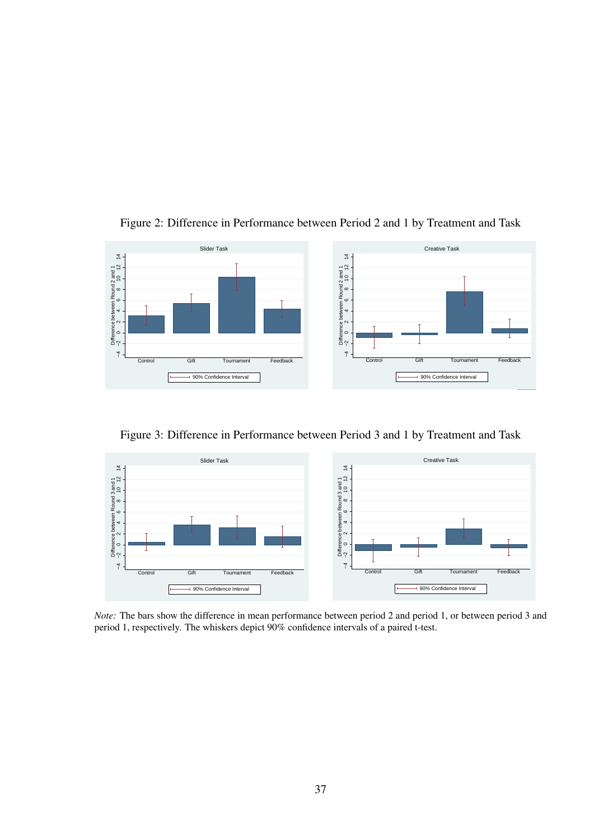

Figure 2: Difference in Performance between Period 2 and 1 by Treatment and Task

Figure 3: Difference in Performance between Period 3 and 1 by Treatment and Task



*Note:* The bars show the difference in mean performance between period 2 and period 1, or between period 3 and period 1, respectively. The whiskers depict 90% confidence intervals of a paired t-test.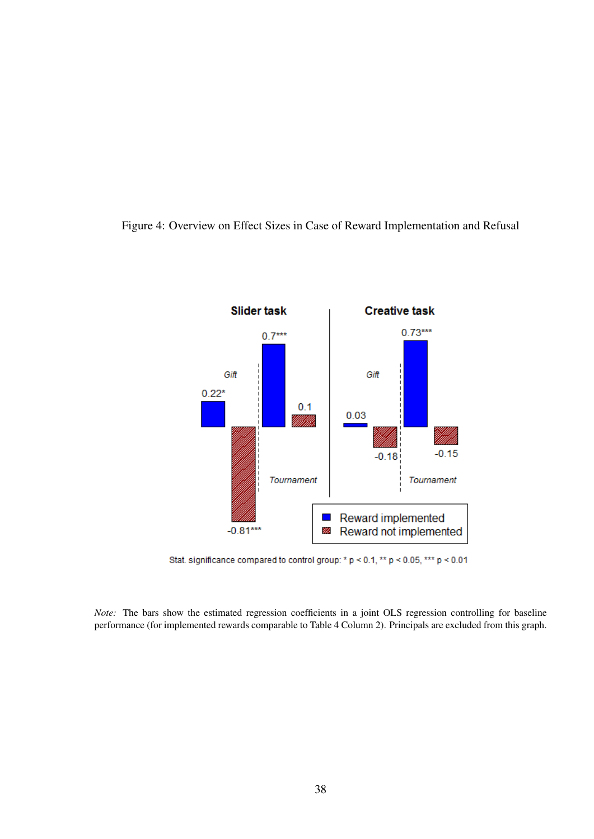



Stat. significance compared to control group: \* p < 0.1, \*\* p < 0.05, \*\*\* p < 0.01

*Note:* The bars show the estimated regression coefficients in a joint OLS regression controlling for baseline performance (for implemented rewards comparable to Table 4 Column 2). Principals are excluded from this graph.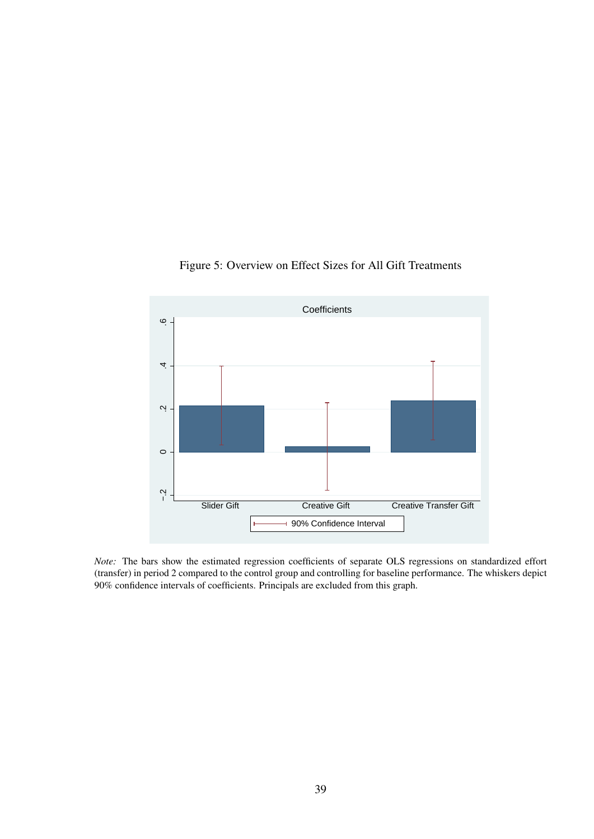

Figure 5: Overview on Effect Sizes for All Gift Treatments

*Note:* The bars show the estimated regression coefficients of separate OLS regressions on standardized effort (transfer) in period 2 compared to the control group and controlling for baseline performance. The whiskers depict 90% confidence intervals of coefficients. Principals are excluded from this graph.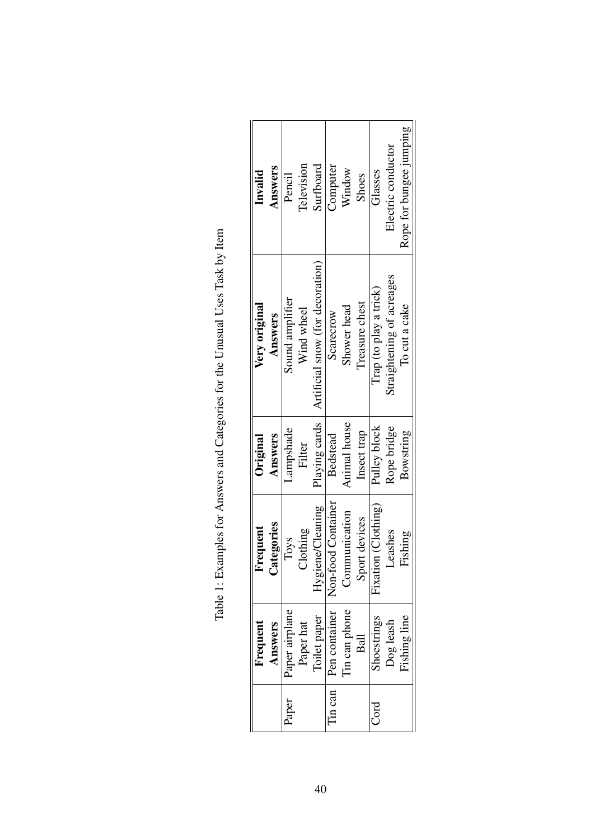| Answers<br>Invalid       | Television<br>Pencil          | Surfboard                        | Computer            | Window        | Shoes          | Glasses                | Electric conductor        | Rope for bungee jumping |
|--------------------------|-------------------------------|----------------------------------|---------------------|---------------|----------------|------------------------|---------------------------|-------------------------|
| Very original<br>Answers | Sound amplifier<br>Wind wheel | Artificial snow (for decoration) | Scarecrow           | Shower head   | Treasure chest | Trap (to play a trick) | Straightening of acreages | To cut a cake           |
| Answers<br>Original      | Lampshade<br>Filter           | Playing cards                    | Bedstead            | Animal house  | Insect trap    | Pulley block           | Rope bridge               | Bowstring               |
| ategories<br>Frequent    | Clothing<br>Toys              | Hygiene/Cleaning                 | Non-food Container  | Communication | Sport devices  | Fixation (Clothing)    | Leashes                   | Fishing                 |
| Frequent<br>Answers      | Paper airplane<br>Paper hat   | Toilet paper                     | Pen container       | Tin can phone | $B$ all        | Shoestrings            | Dog leash                 | Fishing line            |
|                          | Paper                         |                                  | $\lim \mathrm{can}$ |               |                | Cord                   |                           |                         |

| .<br>.<br>.                                                                |
|----------------------------------------------------------------------------|
| ֧֦֧֦֧֦֦֦֧֦֧֦֧֦֧֦֧֦֧֧֝֝֝֝֬֝֝֬֝֬֝֬֝֬֝֬֝֬֝֬֝֓֝֬֝<br>$\ddot{\phantom{0}}$<br>l |
| l<br>I                                                                     |
| <br> <br>                                                                  |
| )<br>}<br>יי מעשי שנגש                                                     |
| l                                                                          |
| Hyamplactor Appropriate and Catagorian torthon Lin<br>3                    |
|                                                                            |
| l<br>ļ<br>:<br>ľ                                                           |
|                                                                            |
| ľ<br>l                                                                     |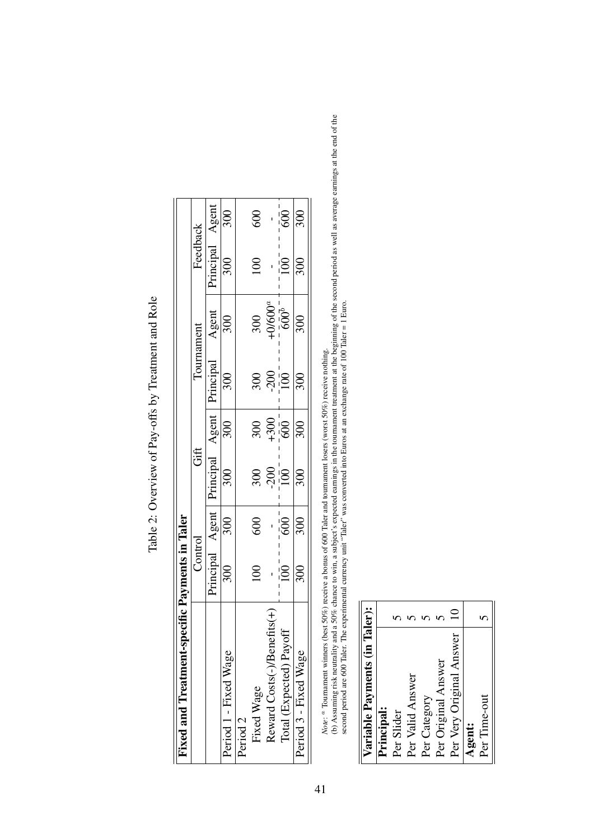| Fixed and Treatment-specific Payments in Taler |                  |                  |                   |                           |                   |                            |                  |                  |
|------------------------------------------------|------------------|------------------|-------------------|---------------------------|-------------------|----------------------------|------------------|------------------|
|                                                | Control          |                  | Gift              |                           | Tournament        |                            | Feedback         |                  |
|                                                | Principal        | Agent            | hincipal          | Agent                     | Principal         | $\frac{\text{Agent}}{300}$ | $\rho$ rincipal  | Agent            |
| Period 1 - Fixed Wage                          | 300              | 300              | 300               | 300                       | 300               |                            | 300              | 300              |
| Period <sub>2</sub>                            |                  |                  |                   |                           |                   |                            |                  |                  |
| Fixed Wage                                     | $\Xi$            | 600              |                   |                           |                   |                            | $\Xi$            | 600              |
| Reward Costs(-)/Benefits(+                     |                  |                  | $\frac{200}{100}$ | $300$<br>$+300$<br>$+300$ | $\frac{200}{200}$ | $\frac{300}{-600^{a}}$     |                  |                  |
| Total (Expected) Payoff                        | $\overline{100}$ | $\overline{600}$ |                   |                           |                   |                            | $\overline{100}$ | $\overline{600}$ |
| Period 3 - Fixed Wage                          | 300              | 300              | 300               | 300                       | 300               | $\frac{1}{300}$            | 300              | $\frac{1}{300}$  |
|                                                |                  |                  |                   |                           |                   |                            |                  |                  |

Table 2: Overview of Pay-offs by Treatment and Role Table 2: Overview of Pay-offs by Treatment and Role

*Note*: a Tournament winners (best 50%) receive a bonus of 600 Taler and tournament losers (worst 50%) receive nothing.

*Note*:  $^a$  Tournament winners (best 50%) receive a bonus of 600 Taler and tournament losers (worst 50%) receive nothing.<br>(b) Assuming risk neutrality and a 50% chance to win, a subject's expected earnings in the tournam (b) Assuming risk neutrality and a 50% chance to win, a subject's expected earnings in the tournament treatment at the beginning of the second period as well as average earnings at the end of the second period are 600 Taler. The experimental currency unit "Taler" was converted into Euros at an exchange rate of 100 Taler = 1 Euro.

| Variable Payments (in Taler): |             |
|-------------------------------|-------------|
| Principal:                    |             |
| Per Slider                    |             |
| Per Valid Answer              |             |
| Per Category                  |             |
| Per Original Answer           |             |
| Per Very Original Answer      | $\subseteq$ |
| <b>Agent:</b>                 |             |
| Per Time-out                  | ∽           |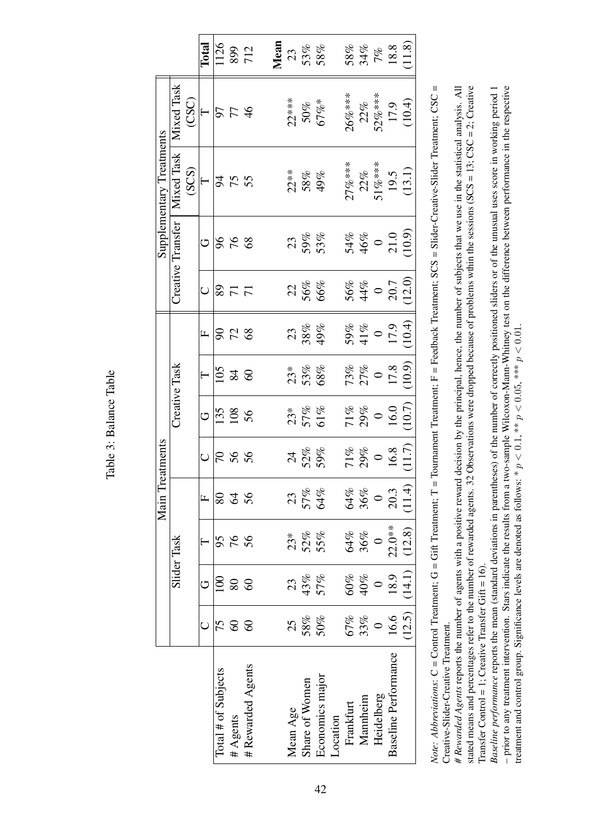| م<br>م<br>Į           |  |
|-----------------------|--|
| ç<br>ć<br>ļ<br>ಸ<br>≃ |  |
| ڝۭ<br>ĭ               |  |

|                          |                    |       | Total        |                       | 1126<br>899<br>712 |                   | Mean |          | $\frac{23}{53\%}$           |                 |          |           |                     |                                  | $58\%$<br>$34\%$<br>$7\%$<br>$18.8$<br>$11.8$            |        |
|--------------------------|--------------------|-------|--------------|-----------------------|--------------------|-------------------|------|----------|-----------------------------|-----------------|----------|-----------|---------------------|----------------------------------|----------------------------------------------------------|--------|
|                          | Mixed Task         | (CSC) | $\vdash$     |                       | <b>SF46</b>        |                   |      |          | $\frac{22***}{50\%}$<br>50% |                 |          | $26\%***$ | 22%                 | 52%***                           | $17.9$<br>(10.4)                                         |        |
| Supplementary Treatments | Mixed Task         | (SCS) | $\vdash$     |                       | <b>3555</b>        |                   |      |          | 22**<br>58%<br>49%          |                 |          | $27%***$  | 22%                 |                                  | $51\%***$<br>19.5<br>19.5                                |        |
|                          | Creative Transfer  |       | O            |                       | $88 - 98$          |                   |      |          | 23<br>59%<br>53%            |                 |          |           |                     |                                  | $54%$<br>$46%$<br>$0$<br>$21.0$<br>$(10.9)$              |        |
|                          |                    |       |              |                       | $\frac{8}{71}$     |                   |      |          | $\frac{22}{56\%}$           |                 |          |           |                     |                                  | 56%<br>44%<br>50.7                                       | (12.0) |
|                          |                    |       | $\mathbf{L}$ |                       | <b>923</b>         |                   |      |          | 23<br>38%<br>49%            |                 |          |           |                     |                                  | $\begin{array}{c} 59\% \\ 41\% \\ 0 \\ 17.9 \end{array}$ | (10.4) |
|                          | Creative Task      |       |              |                       | $\frac{105}{25}$   |                   |      |          | $23*$<br>53%<br>68%         |                 |          |           |                     |                                  | $73\% 27\% 017.8(10.9)$                                  |        |
|                          |                    |       | G            |                       | $rac{135}{108}$    |                   |      |          | $\frac{23}{57\%}$<br>57%    |                 |          |           |                     | $\frac{71\%}{29\%}$<br>0<br>16.0 |                                                          | (10.7) |
| reatments                |                    |       |              |                       | 788                |                   |      |          | 24<br>52%<br>59%            |                 |          |           |                     | $71\%$<br>29%<br>0<br>16.8       |                                                          | (11.7) |
| Main T                   |                    |       | $\mathbf{L}$ |                       | 226                |                   |      | 23       | 57%<br>64%                  |                 |          | 64%       | $36\%$ 0            |                                  | 20.3                                                     | (11.4) |
|                          | <b>Slider Task</b> |       |              | 95                    | 76                 | 56                |      | $23*$    | 52%<br>55%                  |                 |          |           | 64%<br>36%          | $\circ$                          | $22.0**$                                                 | (12.8) |
|                          |                    |       |              | $\Xi$                 | 80                 | 60                |      |          | 23<br>43%<br>57%            |                 |          |           | $\frac{40\%}{10\%}$ |                                  | 18.9                                                     | (14.1) |
|                          |                    |       |              | 75                    | $\Im$              | $\infty$          |      | 25       |                             | $58%$<br>$50%$  |          | 67%       | 33%                 | $\circ$                          | 16.6                                                     | (12.5) |
|                          |                    |       |              | Total $#$ of Subjects | # Agents           | # Rewarded Agents |      | Mean Age | Share of Women              | Economics major | Location | Frankfurt | Mannheim            | Heidelberg                       | <b>Baseline Performance</b>                              |        |

Note: Abbreviations: C = Control Treatment; G = Gift Treatment; T = Tournament Treatment; F = Feedback Treatment; SCS = Slider-Creative-Slider Treatment; CSC = *Note: Abbreviations*: C = Control Treatment; G = Gift Treatment; T = Tournament Treatment; F = Feedback Treatment; SCS = Slider-Creative-Slider Treatment; CSC = Creative-Slider-Creative Treatment. Creative-Slider-Creative Treatment.

# Rewarded Agents reports the number of agents with a positive reward decision by the principal, hence, the number of subjects that we use in the statistical analysis. All stated means and percentages refer to the number of rewarded agents. 32 Observations were dropped because of problems wthin the sessions (SCS = 13; CSC = 2; Creative *# Rewarded Agents* reports the number of agents with a positive reward decision by the principal, hence, the number of subjects that we use in the statistical analysis. All stated means and percentages refer to the number of rewarded agents. 32 Observations were dropped because of problems wthin the sessions (SCS = 13; CSC = 2; Creative Transfer Control = 1; Creative Transfer Gift =  $16$ ). Transfer Control = 1; Creative Transfer Gift =  $16$ ).

*Baseline performance* reports the mean (standard deviations in parentheses) of the number of correctly positioned sliders or of the unusual uses score in working period 1 - prior to any treatment intervention. Stars indicate the results from a two-sample Wilcoxon-Mann-Whitney test on the difference between performance in the respective Baseline performance reports the mean (standard deviations in parentheses) of the number of correctly positioned sliders or of the unusual uses score in working period 1 – prior to any treatment intervention. Stars indicate the results from a two-sample Wilcoxon-Mann-Whitney test on the difference between performance in the respective reatment and control group. Significance levels are denoted as follows: \*  $p < 0.1$ , \*\*  $p < 0.05$ , \*\*\*  $p < 0.01$ . treatment and control group. Significance levels are denoted as follows: \*  $p < 0.1$ , \*\*  $p < 0.05$ , \*\*\*  $p < 0.01$ .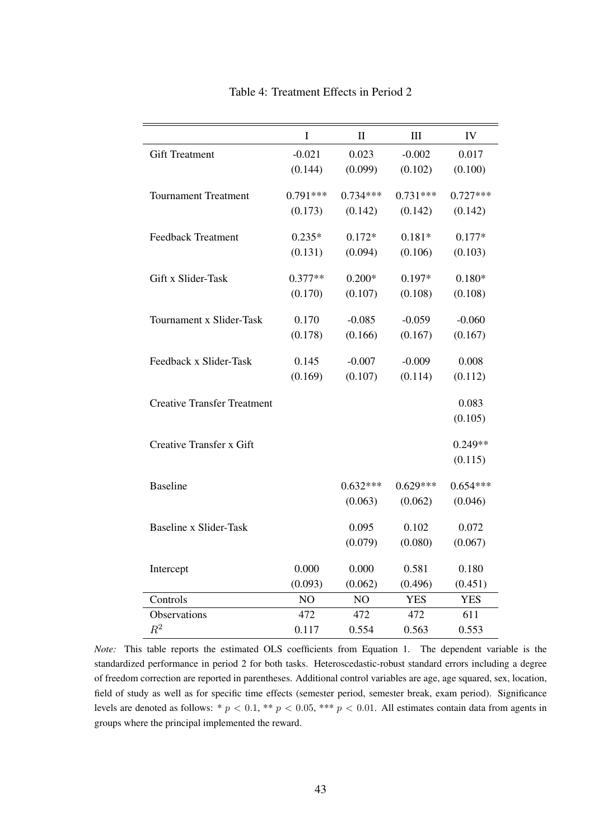|                                    | $\mathbf I$ | $\mathbf{I}$   | III        | IV         |
|------------------------------------|-------------|----------------|------------|------------|
| <b>Gift Treatment</b>              | $-0.021$    | 0.023          | $-0.002$   | 0.017      |
|                                    | (0.144)     | (0.099)        | (0.102)    | (0.100)    |
| <b>Tournament Treatment</b>        | $0.791***$  | $0.734***$     | $0.731***$ | $0.727***$ |
|                                    |             |                |            |            |
|                                    | (0.173)     | (0.142)        | (0.142)    | (0.142)    |
| <b>Feedback Treatment</b>          | $0.235*$    | $0.172*$       | $0.181*$   | $0.177*$   |
|                                    | (0.131)     | (0.094)        | (0.106)    | (0.103)    |
| Gift x Slider-Task                 |             |                |            |            |
|                                    | $0.377**$   | $0.200*$       | $0.197*$   | $0.180*$   |
|                                    | (0.170)     | (0.107)        | (0.108)    | (0.108)    |
| Tournament x Slider-Task           | 0.170       | $-0.085$       | $-0.059$   | $-0.060$   |
|                                    | (0.178)     | (0.166)        | (0.167)    | (0.167)    |
|                                    |             |                |            |            |
| Feedback x Slider-Task             | 0.145       | $-0.007$       | $-0.009$   | 0.008      |
|                                    | (0.169)     | (0.107)        | (0.114)    | (0.112)    |
| <b>Creative Transfer Treatment</b> |             |                |            | 0.083      |
|                                    |             |                |            | (0.105)    |
|                                    |             |                |            |            |
| Creative Transfer x Gift           |             |                |            | $0.249**$  |
|                                    |             |                |            | (0.115)    |
| <b>Baseline</b>                    |             | $0.632***$     | $0.629***$ | $0.654***$ |
|                                    |             | (0.063)        | (0.062)    | (0.046)    |
|                                    |             |                |            |            |
| <b>Baseline x Slider-Task</b>      |             | 0.095          | 0.102      | 0.072      |
|                                    |             | (0.079)        | (0.080)    | (0.067)    |
|                                    | 0.000       | 0.000          | 0.581      | 0.180      |
| Intercept                          |             |                |            |            |
|                                    | (0.093)     | (0.062)        | (0.496)    | (0.451)    |
| Controls                           | NO          | N <sub>O</sub> | <b>YES</b> | <b>YES</b> |
| Observations                       | 472         | 472            | 472        | 611        |
| $\mathbb{R}^2$                     | 0.117       | 0.554          | 0.563      | 0.553      |

Table 4: Treatment Effects in Period 2

*Note:* This table reports the estimated OLS coefficients from Equation 1. The dependent variable is the standardized performance in period 2 for both tasks. Heteroscedastic-robust standard errors including a degree of freedom correction are reported in parentheses. Additional control variables are age, age squared, sex, location, field of study as well as for specific time effects (semester period, semester break, exam period). Significance levels are denoted as follows: \*  $p < 0.1$ , \*\*  $p < 0.05$ , \*\*\*  $p < 0.01$ . All estimates contain data from agents in groups where the principal implemented the reward.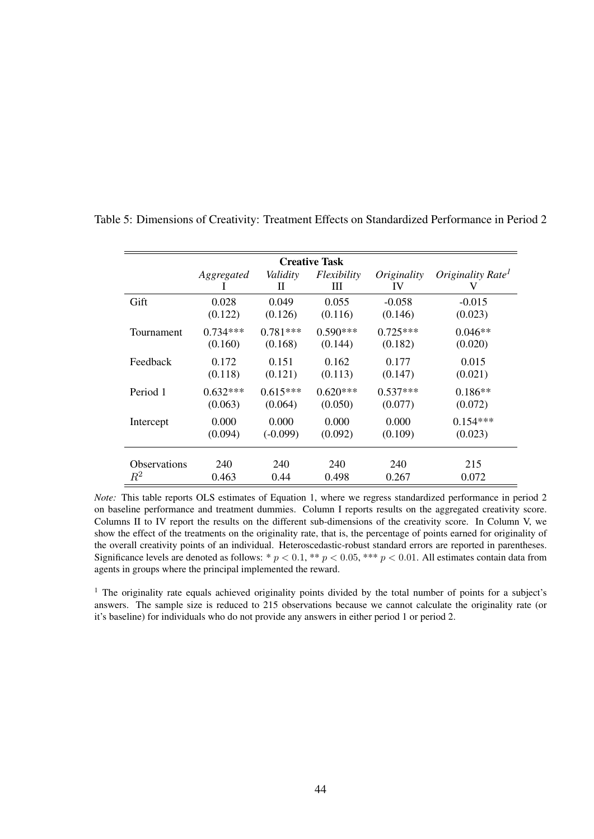|                     |            |               | <b>Creative Task</b> |                   |                               |
|---------------------|------------|---------------|----------------------|-------------------|-------------------------------|
|                     | Aggregated | Validity<br>Н | Flexibility<br>Ш     | Originality<br>IV | Originality Rate <sup>1</sup> |
| Gift                | 0.028      | 0.049         | 0.055                | $-0.058$          | $-0.015$                      |
|                     | (0.122)    | (0.126)       | (0.116)              | (0.146)           | (0.023)                       |
| Tournament          | $0.734***$ | $0.781***$    | $0.590***$           | $0.725***$        | $0.046**$                     |
|                     | (0.160)    | (0.168)       | (0.144)              | (0.182)           | (0.020)                       |
| Feedback            | 0.172      | 0.151         | 0.162                | 0.177             | 0.015                         |
|                     | (0.118)    | (0.121)       | (0.113)              | (0.147)           | (0.021)                       |
| Period 1            | $0.632***$ | $0.615***$    | $0.620***$           | $0.537***$        | $0.186**$                     |
|                     | (0.063)    | (0.064)       | (0.050)              | (0.077)           | (0.072)                       |
| Intercept           | 0.000      | 0.000         | 0.000                | 0.000             | $0.154***$                    |
|                     | (0.094)    | $(-0.099)$    | (0.092)              | (0.109)           | (0.023)                       |
| <b>Observations</b> | 240        | 240           | 240                  | 240               | 215                           |
| $R^2$               | 0.463      | 0.44          | 0.498                | 0.267             | 0.072                         |

Table 5: Dimensions of Creativity: Treatment Effects on Standardized Performance in Period 2

*Note:* This table reports OLS estimates of Equation 1, where we regress standardized performance in period 2 on baseline performance and treatment dummies. Column I reports results on the aggregated creativity score. Columns II to IV report the results on the different sub-dimensions of the creativity score. In Column V, we show the effect of the treatments on the originality rate, that is, the percentage of points earned for originality of the overall creativity points of an individual. Heteroscedastic-robust standard errors are reported in parentheses. Significance levels are denoted as follows: \*  $p < 0.1$ , \*\*  $p < 0.05$ , \*\*\*  $p < 0.01$ . All estimates contain data from agents in groups where the principal implemented the reward.

<sup>1</sup> The originality rate equals achieved originality points divided by the total number of points for a subject's answers. The sample size is reduced to 215 observations because we cannot calculate the originality rate (or it's baseline) for individuals who do not provide any answers in either period 1 or period 2.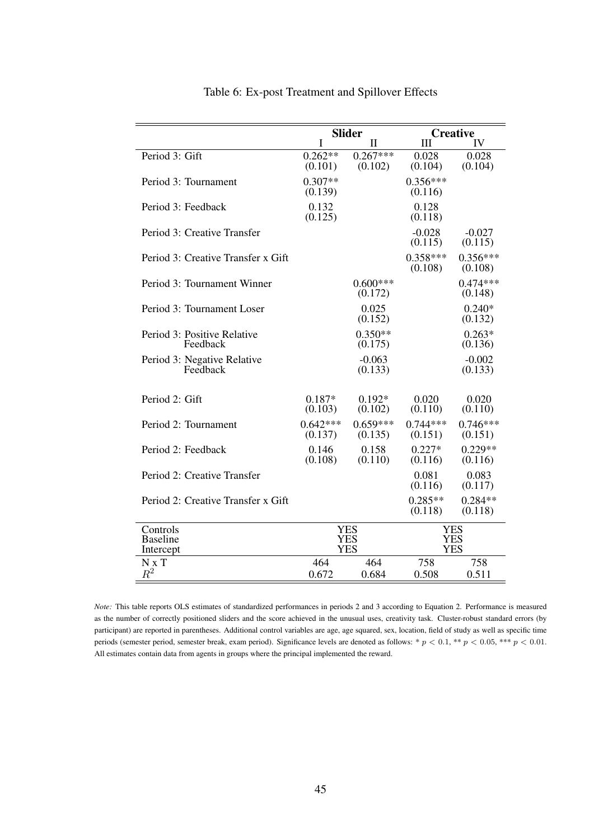|                                         |                       | <b>Slider</b>            |                             | <b>Creative</b>          |
|-----------------------------------------|-----------------------|--------------------------|-----------------------------|--------------------------|
|                                         | $\mathbf I$           | $\mathbf{I}$             | $\mathop{\rm III}\nolimits$ | IV                       |
| Period 3: Gift                          | $0.262**$<br>(0.101)  | $0.267***$<br>(0.102)    | 0.028<br>(0.104)            | 0.028<br>(0.104)         |
| Period 3: Tournament                    | $0.307**$<br>(0.139)  |                          | $0.356***$<br>(0.116)       |                          |
| Period 3: Feedback                      | 0.132<br>(0.125)      |                          | 0.128<br>(0.118)            |                          |
| Period 3: Creative Transfer             |                       |                          | $-0.028$<br>(0.115)         | $-0.027$<br>(0.115)      |
| Period 3: Creative Transfer x Gift      |                       |                          | $0.358***$<br>(0.108)       | $0.356***$<br>(0.108)    |
| Period 3: Tournament Winner             |                       | $0.600***$<br>(0.172)    |                             | $0.474***$<br>(0.148)    |
| Period 3: Tournament Loser              |                       | 0.025<br>(0.152)         |                             | $0.240*$<br>(0.132)      |
| Period 3: Positive Relative<br>Feedback |                       | $0.350**$<br>(0.175)     |                             | $0.263*$<br>(0.136)      |
| Period 3: Negative Relative<br>Feedback |                       | $-0.063$<br>(0.133)      |                             | $-0.002$<br>(0.133)      |
| Period 2: Gift                          | $0.187*$<br>(0.103)   | $0.192*$<br>(0.102)      | 0.020<br>(0.110)            | 0.020<br>(0.110)         |
| Period 2: Tournament                    | $0.642***$<br>(0.137) | $0.659***$<br>(0.135)    | $0.744***$<br>(0.151)       | $0.746***$<br>(0.151)    |
| Period 2: Feedback                      | 0.146<br>(0.108)      | 0.158<br>(0.110)         | $0.227*$<br>(0.116)         | $0.229**$<br>(0.116)     |
| Period 2: Creative Transfer             |                       |                          | 0.081<br>(0.116)            | 0.083<br>(0.117)         |
| Period 2: Creative Transfer x Gift      |                       |                          | $0.285**$<br>(0.118)        | $0.284**$<br>(0.118)     |
| Controls<br><b>Baseline</b>             |                       | <b>YES</b><br><b>YES</b> |                             | <b>YES</b><br><b>YES</b> |
| Intercept                               |                       | <b>YES</b>               |                             | <b>YES</b>               |
| N x T                                   | 464                   | 464                      | 758                         | 758                      |
| $R^2$                                   | 0.672                 | 0.684                    | 0.508                       | 0.511                    |

#### Table 6: Ex-post Treatment and Spillover Effects

*Note:* This table reports OLS estimates of standardized performances in periods 2 and 3 according to Equation 2. Performance is measured as the number of correctly positioned sliders and the score achieved in the unusual uses, creativity task. Cluster-robust standard errors (by participant) are reported in parentheses. Additional control variables are age, age squared, sex, location, field of study as well as specific time periods (semester period, semester break, exam period). Significance levels are denoted as follows: \*  $p < 0.1$ , \*\*  $p < 0.05$ , \*\*\*  $p < 0.01$ . All estimates contain data from agents in groups where the principal implemented the reward.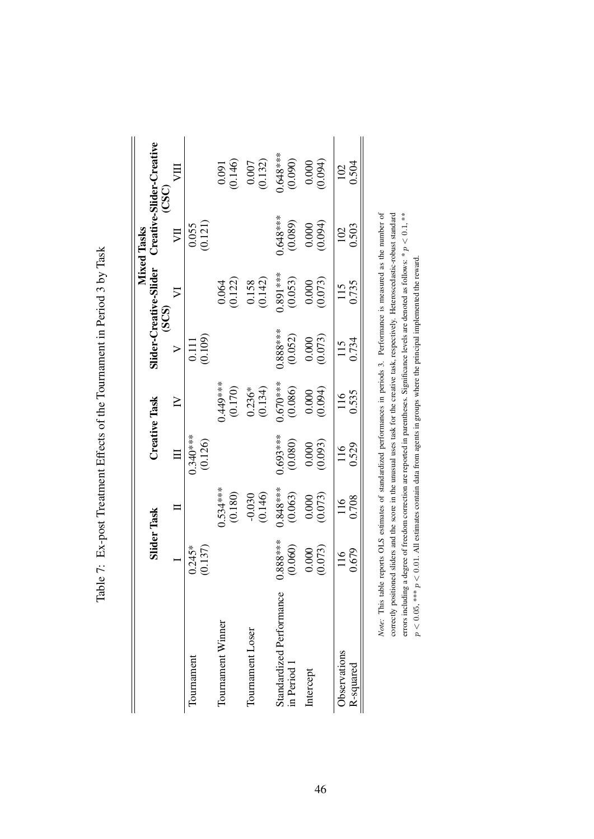|                                         |                       |                       |                       |                       |                       |                                 | <b>Mixed Tasks</b>      |                                   |
|-----------------------------------------|-----------------------|-----------------------|-----------------------|-----------------------|-----------------------|---------------------------------|-------------------------|-----------------------------------|
|                                         |                       | <b>Slider Task</b>    |                       | <b>Creative Task</b>  |                       | ilider-Creative-Slider<br>(SCS) |                         | Creative-Slider-Creative<br>(CSC) |
|                                         |                       |                       |                       | $\geq$                | $\triangleright$      | $\nabla$                        | JЦ                      | ΣЩ                                |
| Tournament                              | (0.137)<br>$0.245*$   |                       | 1.340 ***<br>(0.126)  |                       | $\frac{0.111}{0.109}$ |                                 | $\frac{0.055}{(0.121)}$ |                                   |
| Tournament Winner                       |                       | $0.534***$<br>(0.180) |                       | $0.449***$<br>(0.170) |                       | $0.064$<br>$(0.122)$            |                         | $0.091$<br>$(0.146)$              |
| Tournament Loser                        |                       | $-0.030$<br>(0.146)   |                       | $0.236*$<br>(0.134)   |                       | $\frac{0.158}{(0.142)}$         |                         | $\frac{0.007}{(0.132)}$           |
| Standardized Performance<br>in Period 1 | $0.888***$<br>(0.060) | $0.848***$<br>(0.063) | $0.693***$<br>(0.080) | $0.670***$<br>(0.086) | $0.888***$<br>(0.052) | $0.891***$<br>(0.053)           | $.648***$<br>(0.089)    | $0.648***$<br>(0.090)             |
| Intercept                               | (0.073)<br>0.000      | (0.000)               |                       |                       |                       | $(0.000)$<br>$(0.073)$          |                         | (0.0000)                          |
| Observations<br>R-squared               | 0.679<br>116          | 0.708<br>116          | 0.529<br>116          | 0.535<br>116          | 0.734<br>115          | 0.735<br>115                    | 0.503<br>102            | 0.504<br>102                      |

| I                                                                                                                                         |
|-------------------------------------------------------------------------------------------------------------------------------------------|
| J                                                                                                                                         |
|                                                                                                                                           |
|                                                                                                                                           |
|                                                                                                                                           |
| $\sim$ 120 $\sim$ 120 $\sim$ 120 $\sim$ 120 $\sim$ 120 $\sim$ 140 $\sim$<br>l                                                             |
|                                                                                                                                           |
| )<br>}                                                                                                                                    |
|                                                                                                                                           |
| $\frac{1}{2}$<br>؟<br>ا<br>I<br>こくら こう<br>l<br>֧֧֧֧֦֧֧֦֧֦֧֦֧֧֪֧֪֪֛֛֛֛֛֛֛֛֛֖֧֪֪֪֦֖֛֚֚֚֚֚֚֚֚֚֚֚֚֚֚֚֚֚֡֓֡֓֓֕֓֡֟֓֡֬֓֓֝֓֝֬֝֓֓֓֓֓֓֝֬֓֓֓֓֓֓<br>ļ |
| l<br>)<br>1<br>1<br>1<br>;<br>י<br>ד                                                                                                      |

Note: This table reports OLS estimates of standardized performances in periods 3. Performance is measured as the number of correctly positioned sliders and the score in the unusual uses task for the creative task, respectively. Heteroscedastic-robust standard errors including a degree of freedom correction are reported in parentheses. Significance levels are denoted as follows: \*  $p < 0.1$ , \*\* *Note:* This table reports OLS estimates of standardized performances in periods 3. Performance is measured as the number of correctly positioned sliders and the score in the unusual uses task for the creative task, respectively. Heteroscedastic-robust standard errors including a degree of freedom correction are reported in parentheses. Significance levels are denoted as follows:  $* p < 0.1$ ,  $**$  $p < 0.05$ , \*\*\*  $p < 0.01$ . All estimates contain data from agents in groups where the principal implemented the reward.  $p < 0.05$ , \*\*\*  $p < 0.01$ . All estimates contain data from agents in groups where the principal implemented the reward.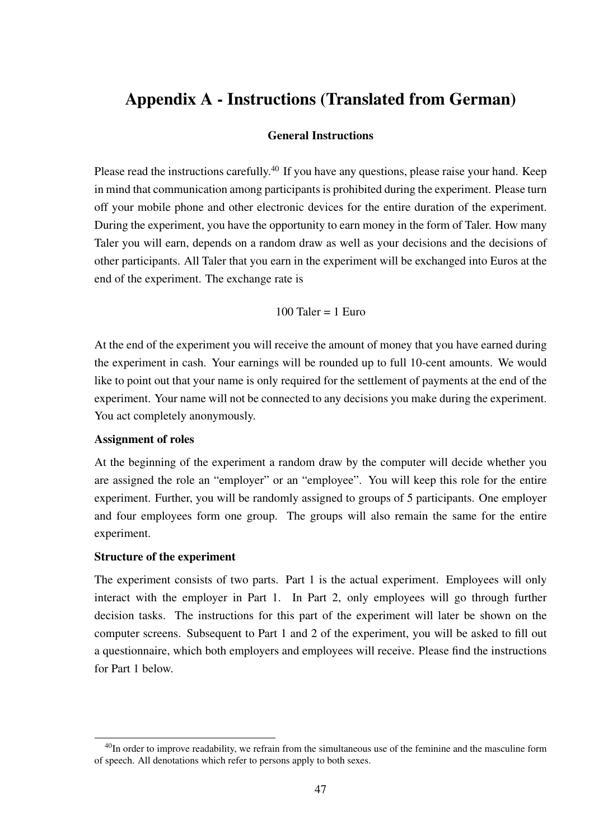# Appendix A - Instructions (Translated from German)

#### General Instructions

Please read the instructions carefully.<sup>40</sup> If you have any questions, please raise your hand. Keep in mind that communication among participants is prohibited during the experiment. Please turn off your mobile phone and other electronic devices for the entire duration of the experiment. During the experiment, you have the opportunity to earn money in the form of Taler. How many Taler you will earn, depends on a random draw as well as your decisions and the decisions of other participants. All Taler that you earn in the experiment will be exchanged into Euros at the end of the experiment. The exchange rate is

$$
100
$$
 Taler =  $1$  Euro

At the end of the experiment you will receive the amount of money that you have earned during the experiment in cash. Your earnings will be rounded up to full 10-cent amounts. We would like to point out that your name is only required for the settlement of payments at the end of the experiment. Your name will not be connected to any decisions you make during the experiment. You act completely anonymously.

#### Assignment of roles

At the beginning of the experiment a random draw by the computer will decide whether you are assigned the role an "employer" or an "employee". You will keep this role for the entire experiment. Further, you will be randomly assigned to groups of 5 participants. One employer and four employees form one group. The groups will also remain the same for the entire experiment.

#### Structure of the experiment

The experiment consists of two parts. Part 1 is the actual experiment. Employees will only interact with the employer in Part 1. In Part 2, only employees will go through further decision tasks. The instructions for this part of the experiment will later be shown on the computer screens. Subsequent to Part 1 and 2 of the experiment, you will be asked to fill out a questionnaire, which both employers and employees will receive. Please find the instructions for Part 1 below.

<sup>&</sup>lt;sup>40</sup>In order to improve readability, we refrain from the simultaneous use of the feminine and the masculine form of speech. All denotations which refer to persons apply to both sexes.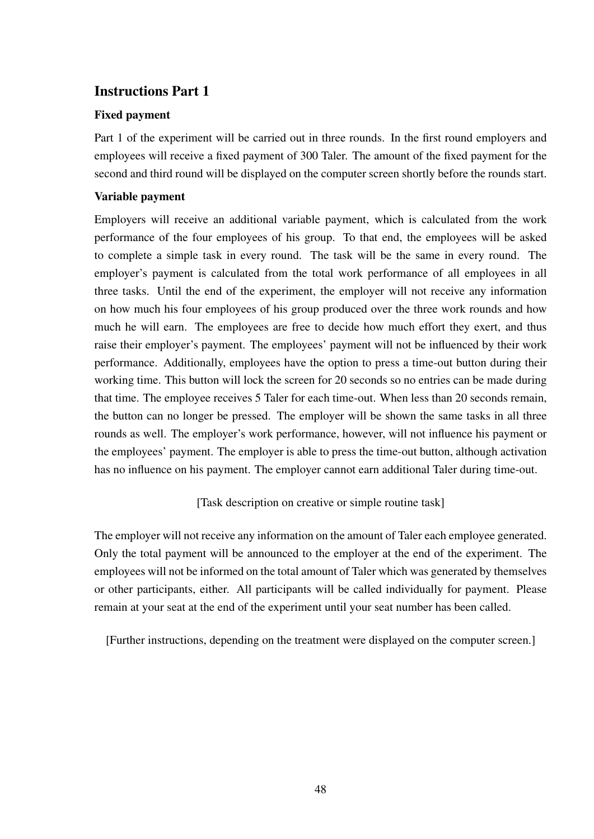### Instructions Part 1

#### Fixed payment

Part 1 of the experiment will be carried out in three rounds. In the first round employers and employees will receive a fixed payment of 300 Taler. The amount of the fixed payment for the second and third round will be displayed on the computer screen shortly before the rounds start.

#### Variable payment

Employers will receive an additional variable payment, which is calculated from the work performance of the four employees of his group. To that end, the employees will be asked to complete a simple task in every round. The task will be the same in every round. The employer's payment is calculated from the total work performance of all employees in all three tasks. Until the end of the experiment, the employer will not receive any information on how much his four employees of his group produced over the three work rounds and how much he will earn. The employees are free to decide how much effort they exert, and thus raise their employer's payment. The employees' payment will not be influenced by their work performance. Additionally, employees have the option to press a time-out button during their working time. This button will lock the screen for 20 seconds so no entries can be made during that time. The employee receives 5 Taler for each time-out. When less than 20 seconds remain, the button can no longer be pressed. The employer will be shown the same tasks in all three rounds as well. The employer's work performance, however, will not influence his payment or the employees' payment. The employer is able to press the time-out button, although activation has no influence on his payment. The employer cannot earn additional Taler during time-out.

[Task description on creative or simple routine task]

The employer will not receive any information on the amount of Taler each employee generated. Only the total payment will be announced to the employer at the end of the experiment. The employees will not be informed on the total amount of Taler which was generated by themselves or other participants, either. All participants will be called individually for payment. Please remain at your seat at the end of the experiment until your seat number has been called.

[Further instructions, depending on the treatment were displayed on the computer screen.]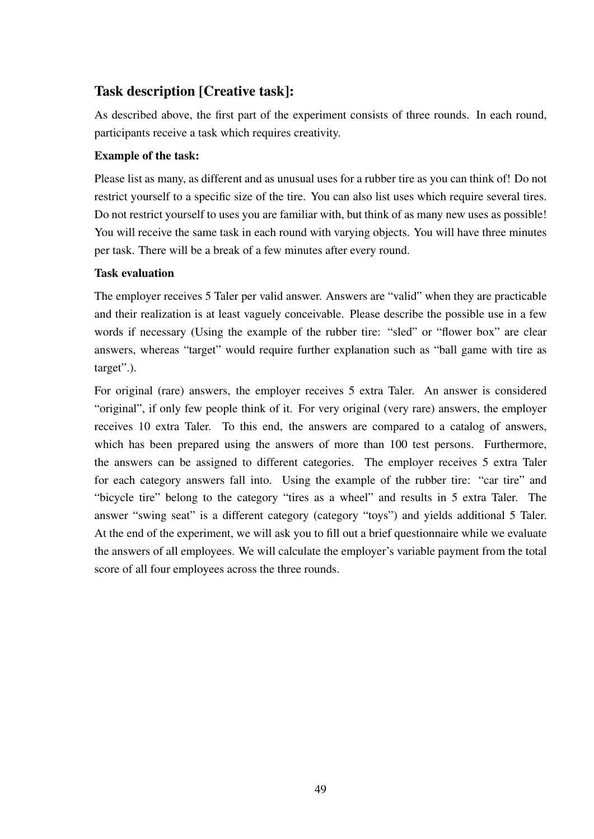### Task description [Creative task]:

As described above, the first part of the experiment consists of three rounds. In each round, participants receive a task which requires creativity.

### Example of the task:

Please list as many, as different and as unusual uses for a rubber tire as you can think of! Do not restrict yourself to a specific size of the tire. You can also list uses which require several tires. Do not restrict yourself to uses you are familiar with, but think of as many new uses as possible! You will receive the same task in each round with varying objects. You will have three minutes per task. There will be a break of a few minutes after every round.

### Task evaluation

The employer receives 5 Taler per valid answer. Answers are "valid" when they are practicable and their realization is at least vaguely conceivable. Please describe the possible use in a few words if necessary (Using the example of the rubber tire: "sled" or "flower box" are clear answers, whereas "target" would require further explanation such as "ball game with tire as target".).

For original (rare) answers, the employer receives 5 extra Taler. An answer is considered "original", if only few people think of it. For very original (very rare) answers, the employer receives 10 extra Taler. To this end, the answers are compared to a catalog of answers, which has been prepared using the answers of more than 100 test persons. Furthermore, the answers can be assigned to different categories. The employer receives 5 extra Taler for each category answers fall into. Using the example of the rubber tire: "car tire" and "bicycle tire" belong to the category "tires as a wheel" and results in 5 extra Taler. The answer "swing seat" is a different category (category "toys") and yields additional 5 Taler. At the end of the experiment, we will ask you to fill out a brief questionnaire while we evaluate the answers of all employees. We will calculate the employer's variable payment from the total score of all four employees across the three rounds.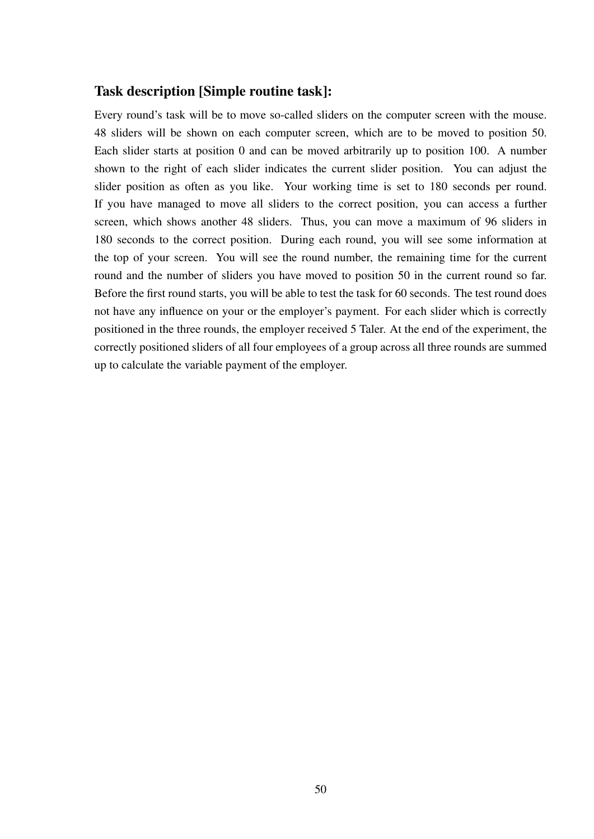### Task description [Simple routine task]:

Every round's task will be to move so-called sliders on the computer screen with the mouse. 48 sliders will be shown on each computer screen, which are to be moved to position 50. Each slider starts at position 0 and can be moved arbitrarily up to position 100. A number shown to the right of each slider indicates the current slider position. You can adjust the slider position as often as you like. Your working time is set to 180 seconds per round. If you have managed to move all sliders to the correct position, you can access a further screen, which shows another 48 sliders. Thus, you can move a maximum of 96 sliders in 180 seconds to the correct position. During each round, you will see some information at the top of your screen. You will see the round number, the remaining time for the current round and the number of sliders you have moved to position 50 in the current round so far. Before the first round starts, you will be able to test the task for 60 seconds. The test round does not have any influence on your or the employer's payment. For each slider which is correctly positioned in the three rounds, the employer received 5 Taler. At the end of the experiment, the correctly positioned sliders of all four employees of a group across all three rounds are summed up to calculate the variable payment of the employer.